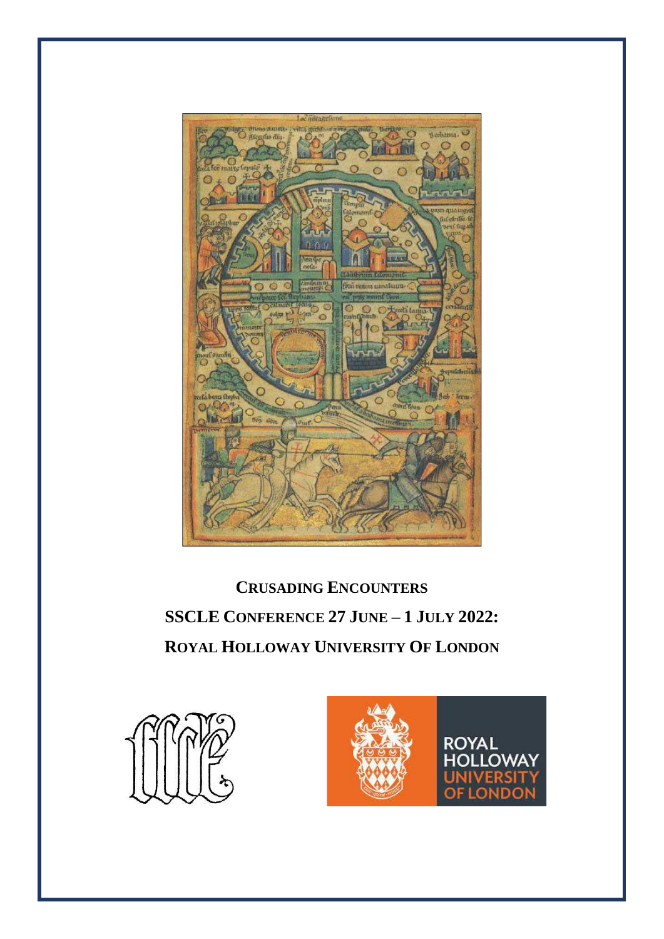

**CRUSADING ENCOUNTERS SSCLE CONFERENCE 27 JUNE – 1 JULY 2022: ROYAL HOLLOWAY UNIVERSITY OF LONDON**



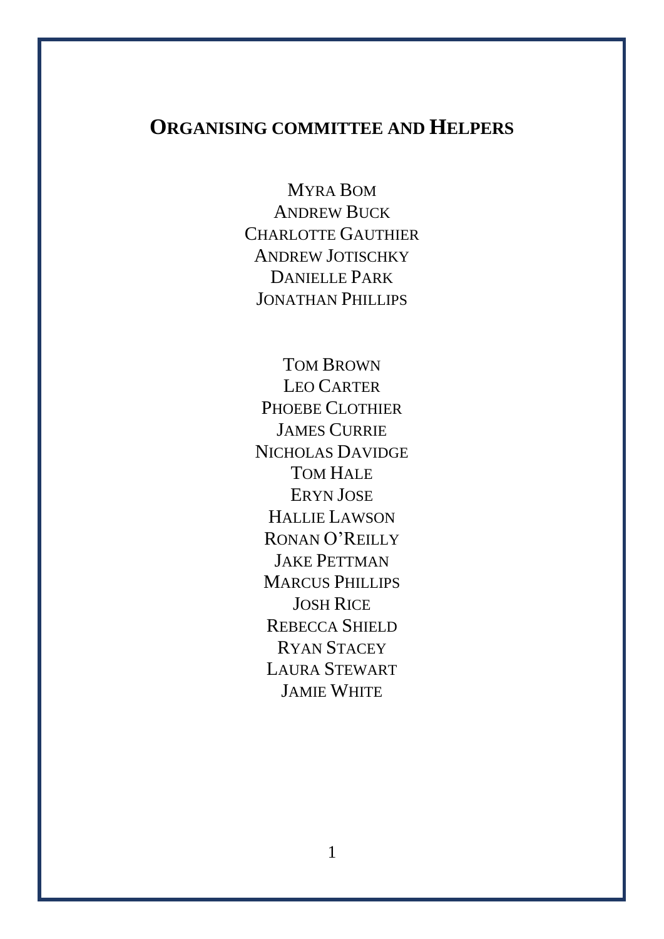# **ORGANISING COMMITTEE AND HELPERS**

MYRA BOM ANDREW BUCK CHARLOTTE GAUTHIER ANDREW JOTISCHKY DANIELLE PARK JONATHAN PHILLIPS

TOM BROWN LEO CARTER PHOEBE CLOTHIER JAMES CURRIE NICHOLAS DAVIDGE TOM HALE ERYN JOSE HALLIE LAWSON RONAN O'REILLY JAKE PETTMAN MARCUS PHILLIPS JOSH RICE REBECCA SHIELD RYAN STACEY LAURA STEWART JAMIE WHITE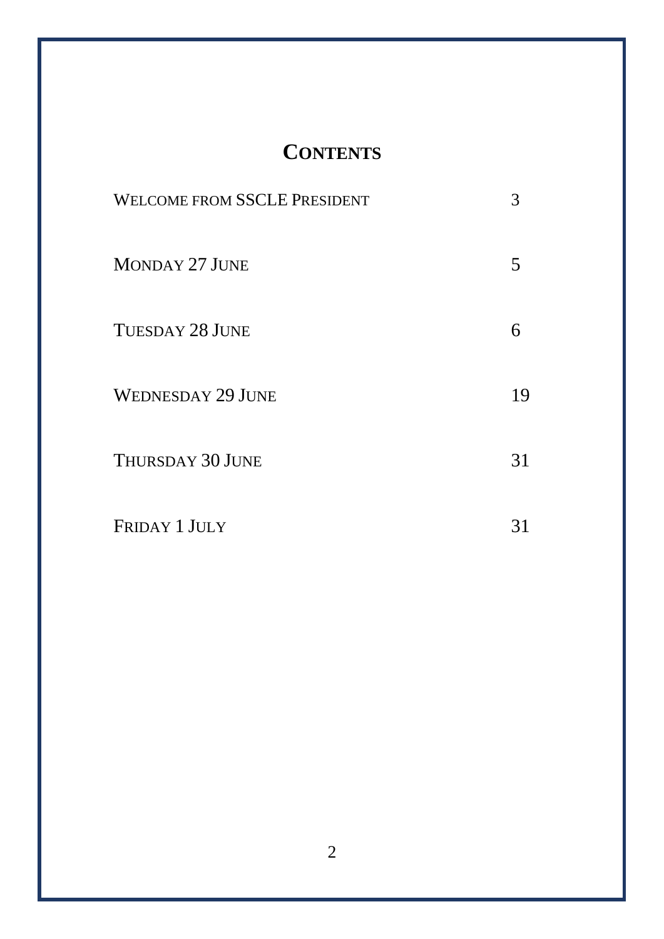# **CONTENTS**

| <b>WELCOME FROM SSCLE PRESIDENT</b> | 3  |
|-------------------------------------|----|
| MONDAY 27 JUNE                      | 5  |
| <b>TUESDAY 28 JUNE</b>              | 6  |
| <b>WEDNESDAY 29 JUNE</b>            | 19 |
| THURSDAY 30 JUNE                    | 31 |
| FRIDAY 1 JULY                       | 31 |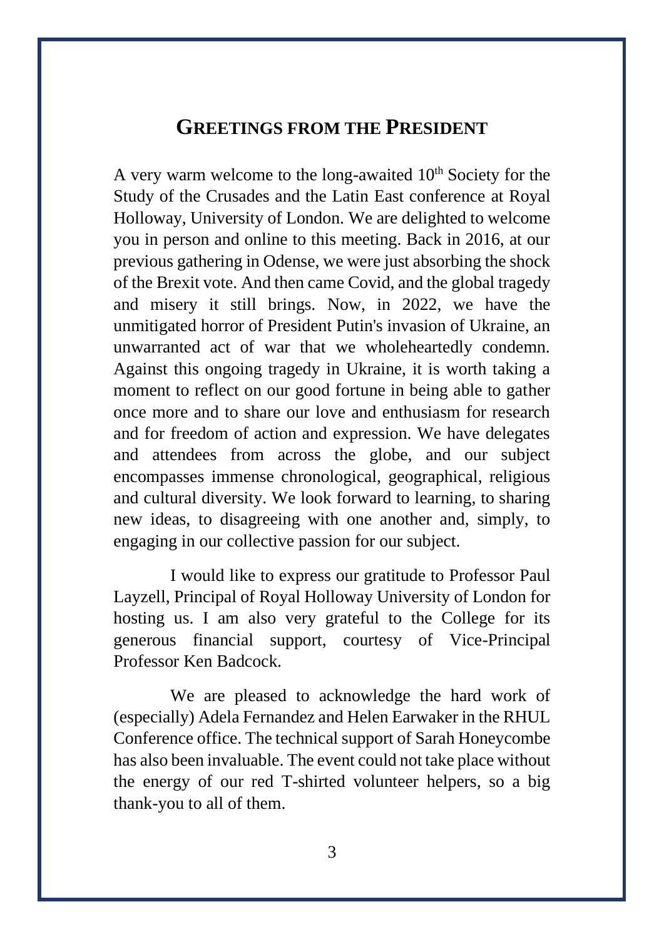#### **GREETINGS FROM THE PRESIDENT**

A very warm welcome to the long-awaited  $10<sup>th</sup>$  Society for the Study of the Crusades and the Latin East conference at Royal Holloway, University of London. We are delighted to welcome you in person and online to this meeting. Back in 2016, at our previous gathering in Odense, we were just absorbing the shock of the Brexit vote. And then came Covid, and the global tragedy and misery it still brings. Now, in 2022, we have the unmitigated horror of President Putin's invasion of Ukraine, an unwarranted act of war that we wholeheartedly condemn. Against this ongoing tragedy in Ukraine, it is worth taking a moment to reflect on our good fortune in being able to gather once more and to share our love and enthusiasm for research and for freedom of action and expression. We have delegates and attendees from across the globe, and our subject encompasses immense chronological, geographical, religious and cultural diversity. We look forward to learning, to sharing new ideas, to disagreeing with one another and, simply, to engaging in our collective passion for our subject.

I would like to express our gratitude to Professor Paul Layzell, Principal of Royal Holloway University of London for hosting us. I am also very grateful to the College for its generous financial support, courtesy of Vice-Principal Professor Ken Badcock.

We are pleased to acknowledge the hard work of (especially) Adela Fernandez and Helen Earwaker in the RHUL Conference office. The technical support of Sarah Honeycombe has also been invaluable. The event could not take place without the energy of our red T-shirted volunteer helpers, so a big thank-you to all of them.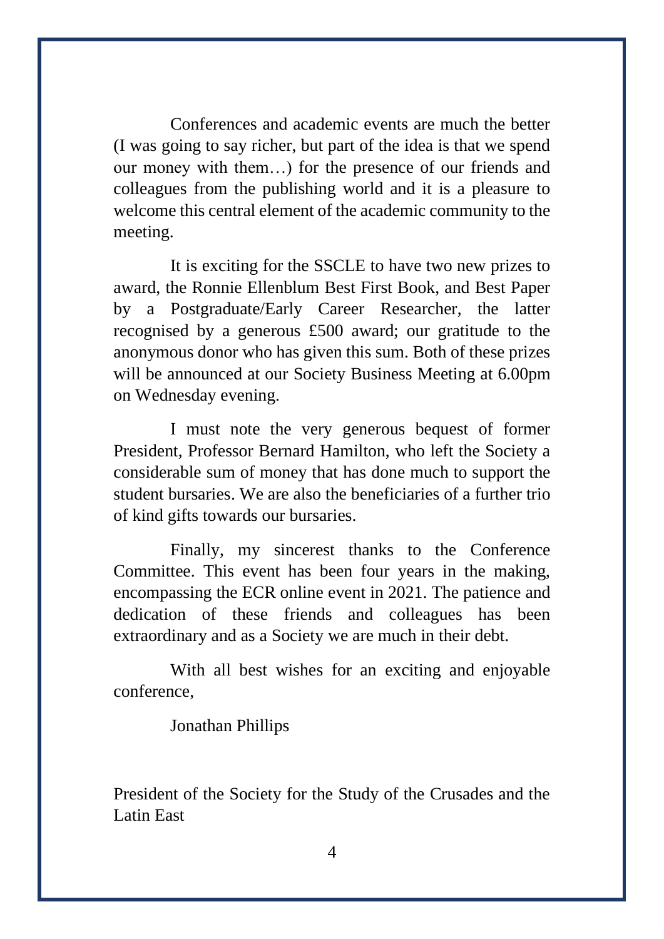Conferences and academic events are much the better (I was going to say richer, but part of the idea is that we spend our money with them…) for the presence of our friends and colleagues from the publishing world and it is a pleasure to welcome this central element of the academic community to the meeting.

It is exciting for the SSCLE to have two new prizes to award, the Ronnie Ellenblum Best First Book, and Best Paper by a Postgraduate/Early Career Researcher, the latter recognised by a generous £500 award; our gratitude to the anonymous donor who has given this sum. Both of these prizes will be announced at our Society Business Meeting at 6.00pm on Wednesday evening.

I must note the very generous bequest of former President, Professor Bernard Hamilton, who left the Society a considerable sum of money that has done much to support the student bursaries. We are also the beneficiaries of a further trio of kind gifts towards our bursaries.

Finally, my sincerest thanks to the Conference Committee. This event has been four years in the making, encompassing the ECR online event in 2021. The patience and dedication of these friends and colleagues has been extraordinary and as a Society we are much in their debt.

With all best wishes for an exciting and enjoyable conference,

Jonathan Phillips

President of the Society for the Study of the Crusades and the Latin East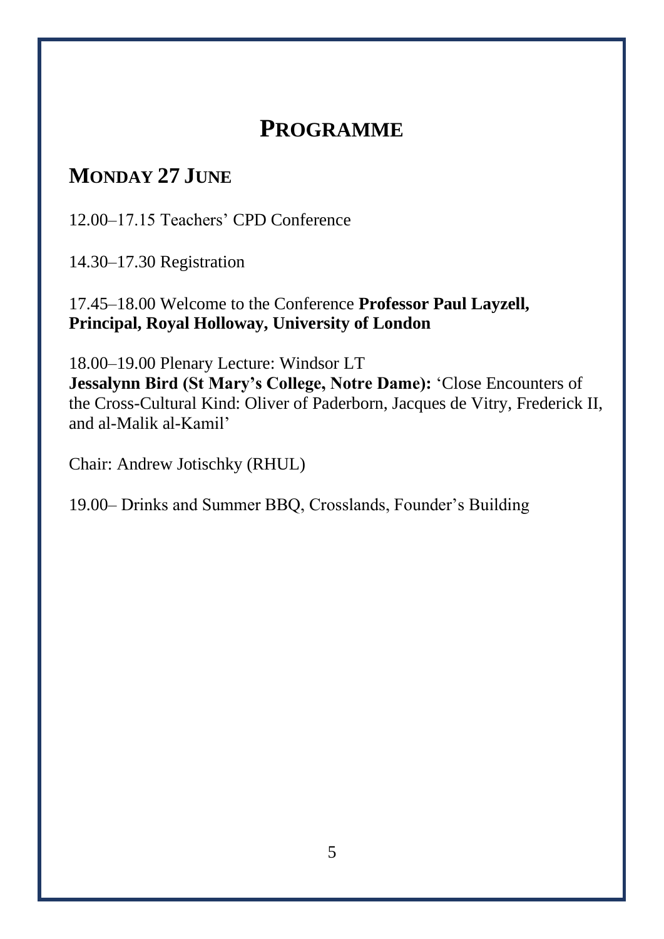# **PROGRAMME**

# **MONDAY 27 JUNE**

12.00–17.15 Teachers' CPD Conference

14.30–17.30 Registration

17.45–18.00 Welcome to the Conference **Professor Paul Layzell, Principal, Royal Holloway, University of London**

18.00–19.00 Plenary Lecture: Windsor LT

**Jessalynn Bird (St Mary's College, Notre Dame):** 'Close Encounters of the Cross-Cultural Kind: Oliver of Paderborn, Jacques de Vitry, Frederick II, and al-Malik al-Kamil'

Chair: Andrew Jotischky (RHUL)

19.00– Drinks and Summer BBQ, Crosslands, Founder's Building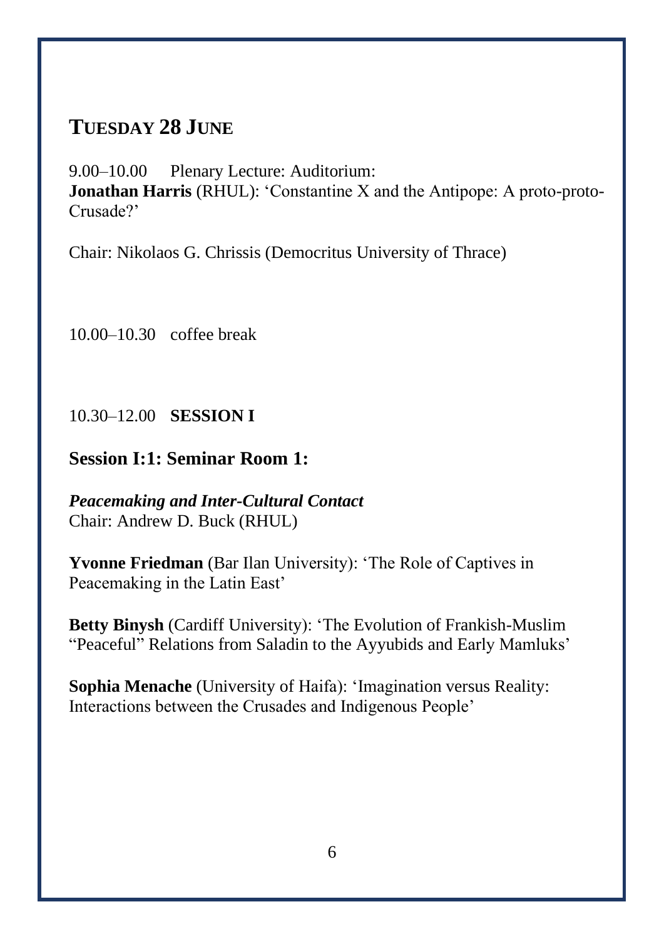# **TUESDAY 28 JUNE**

9.00–10.00 Plenary Lecture: Auditorium: **Jonathan Harris** (RHUL): 'Constantine X and the Antipope: A proto-proto-Crusade?'

Chair: Nikolaos G. Chrissis (Democritus University of Thrace)

10.00–10.30 coffee break

10.30–12.00 **SESSION I**

# **Session I:1: Seminar Room 1:**

*Peacemaking and Inter-Cultural Contact* Chair: Andrew D. Buck (RHUL)

**Yvonne Friedman** (Bar Ilan University): 'The Role of Captives in Peacemaking in the Latin East'

**Betty Binysh** (Cardiff University): 'The Evolution of Frankish-Muslim "Peaceful" Relations from Saladin to the Ayyubids and Early Mamluks'

**Sophia Menache** (University of Haifa): 'Imagination versus Reality: Interactions between the Crusades and Indigenous People'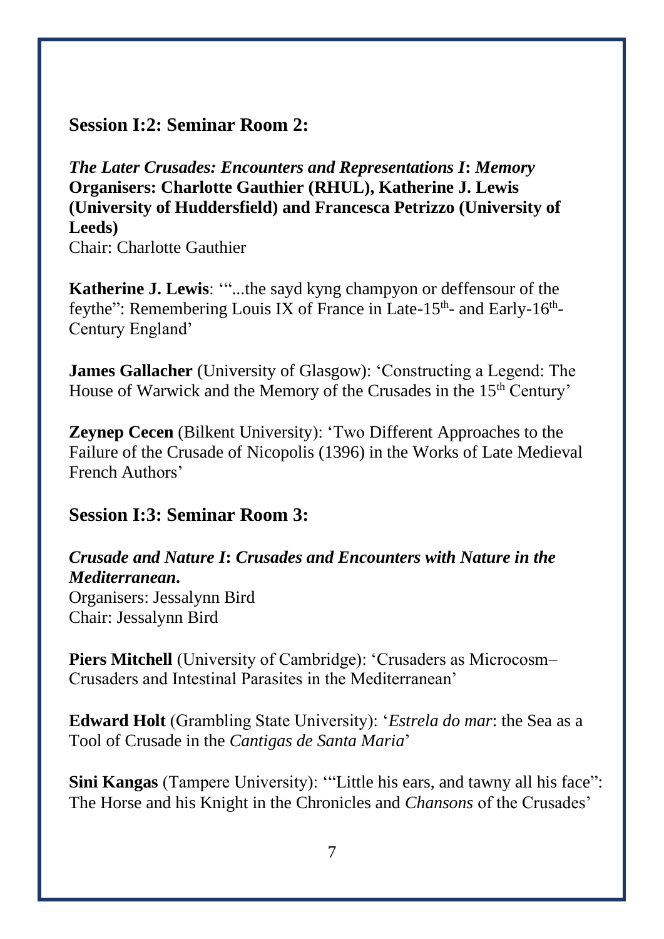#### **Session I:2: Seminar Room 2:**

*The Later Crusades: Encounters and Representations I***:** *Memory* **Organisers: Charlotte Gauthier (RHUL), Katherine J. Lewis (University of Huddersfield) and Francesca Petrizzo (University of Leeds)** Chair: Charlotte Gauthier

**Katherine J. Lewis**: '"...the sayd kyng champyon or deffensour of the feythe": Remembering Louis IX of France in Late-15<sup>th</sup>- and Early-16<sup>th</sup>-Century England'

**James Gallacher** (University of Glasgow): 'Constructing a Legend: The House of Warwick and the Memory of the Crusades in the 15<sup>th</sup> Century'

**Zeynep Cecen** (Bilkent University): 'Two Different Approaches to the Failure of the Crusade of Nicopolis (1396) in the Works of Late Medieval French Authors'

#### **Session I:3: Seminar Room 3:**

*Crusade and Nature I***:** *Crusades and Encounters with Nature in the Mediterranean***.** Organisers: Jessalynn Bird Chair: Jessalynn Bird

**Piers Mitchell** (University of Cambridge): 'Crusaders as Microcosm– Crusaders and Intestinal Parasites in the Mediterranean'

**Edward Holt** (Grambling State University): '*Estrela do mar*: the Sea as a Tool of Crusade in the *Cantigas de Santa Maria*'

**Sini Kangas** (Tampere University): '"Little his ears, and tawny all his face": The Horse and his Knight in the Chronicles and *Chansons* of the Crusades'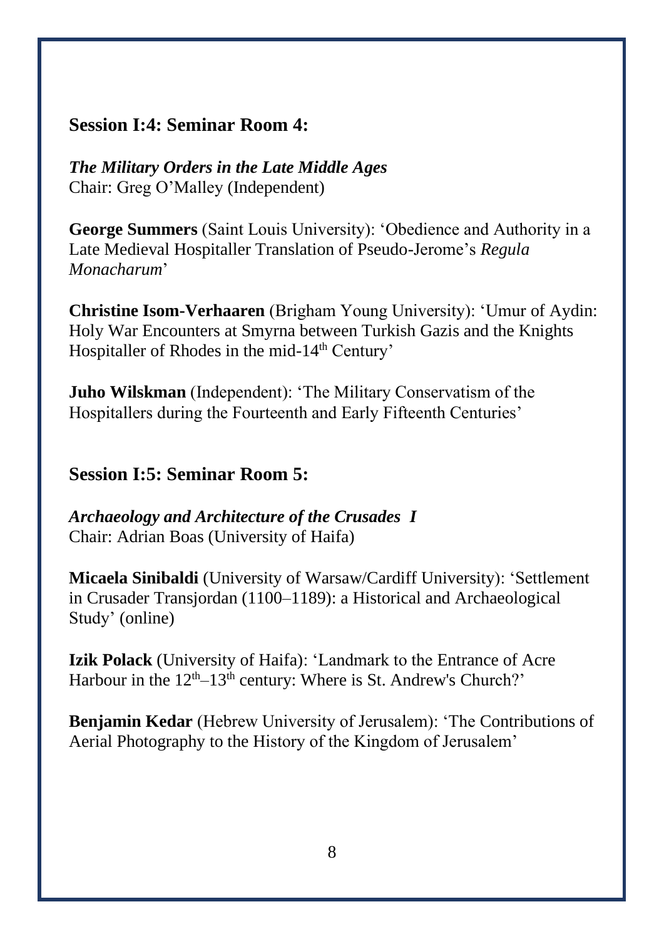#### **Session I:4: Seminar Room 4:**

*The Military Orders in the Late Middle Ages* Chair: Greg O'Malley (Independent)

**George Summers** (Saint Louis University): 'Obedience and Authority in a Late Medieval Hospitaller Translation of Pseudo-Jerome's *Regula Monacharum*'

**Christine Isom-Verhaaren** (Brigham Young University): 'Umur of Aydin: Holy War Encounters at Smyrna between Turkish Gazis and the Knights Hospitaller of Rhodes in the mid-14<sup>th</sup> Century'

**Juho Wilskman** (Independent): 'The Military Conservatism of the Hospitallers during the Fourteenth and Early Fifteenth Centuries'

#### **Session I:5: Seminar Room 5:**

*Archaeology and Architecture of the Crusades I* Chair: Adrian Boas (University of Haifa)

**Micaela Sinibaldi** (University of Warsaw/Cardiff University): 'Settlement in Crusader Transjordan (1100–1189): a Historical and Archaeological Study' (online)

**Izik Polack** (University of Haifa): 'Landmark to the Entrance of Acre Harbour in the 12<sup>th</sup>-13<sup>th</sup> century: Where is St. Andrew's Church?'

**Benjamin Kedar** (Hebrew University of Jerusalem): 'The Contributions of Aerial Photography to the History of the Kingdom of Jerusalem'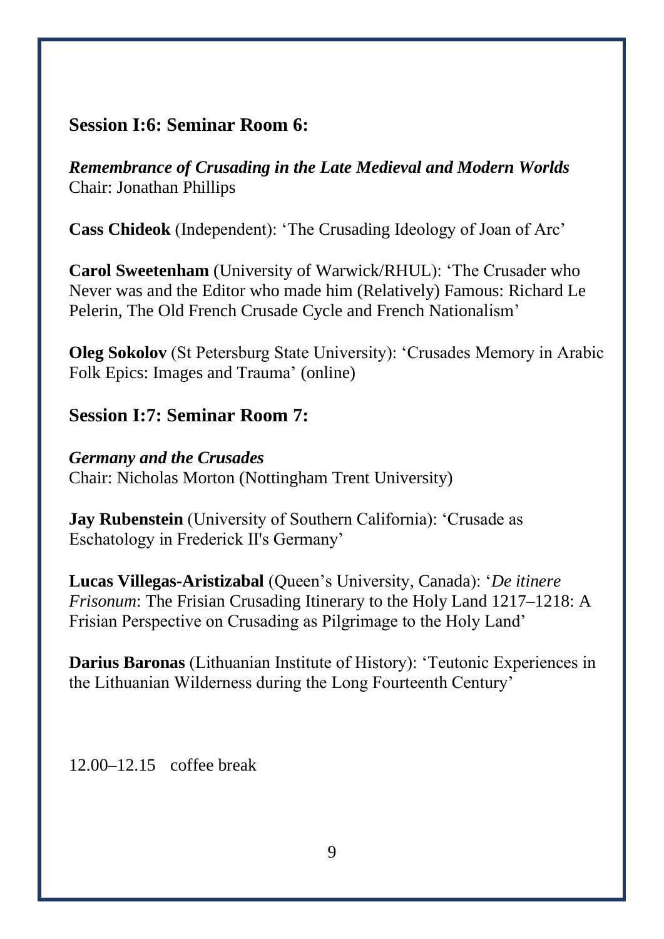#### **Session I:6: Seminar Room 6:**

*Remembrance of Crusading in the Late Medieval and Modern Worlds* Chair: Jonathan Phillips

**Cass Chideok** (Independent): 'The Crusading Ideology of Joan of Arc'

**Carol Sweetenham** (University of Warwick/RHUL): 'The Crusader who Never was and the Editor who made him (Relatively) Famous: Richard Le Pelerin, The Old French Crusade Cycle and French Nationalism'

**Oleg Sokolov** (St Petersburg State University): 'Crusades Memory in Arabic Folk Epics: Images and Trauma' (online)

#### **Session I:7: Seminar Room 7:**

*Germany and the Crusades* Chair: Nicholas Morton (Nottingham Trent University)

**Jay Rubenstein** (University of Southern California): 'Crusade as Eschatology in Frederick II's Germany'

**Lucas Villegas-Aristizabal** (Queen's University, Canada): '*De itinere Frisonum*: The Frisian Crusading Itinerary to the Holy Land 1217–1218: A Frisian Perspective on Crusading as Pilgrimage to the Holy Land'

**Darius Baronas** (Lithuanian Institute of History): 'Teutonic Experiences in the Lithuanian Wilderness during the Long Fourteenth Century'

12.00–12.15 coffee break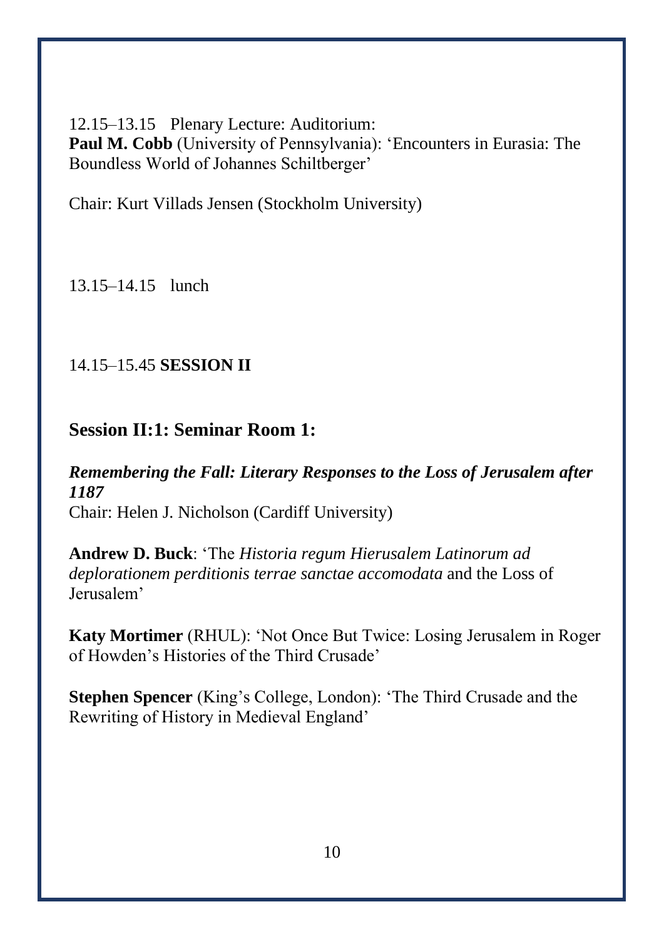12.15–13.15 Plenary Lecture: Auditorium: **Paul M. Cobb** (University of Pennsylvania): 'Encounters in Eurasia: The Boundless World of Johannes Schiltberger'

Chair: Kurt Villads Jensen (Stockholm University)

13.15–14.15 lunch

# 14.15–15.45 **SESSION II**

# **Session II:1: Seminar Room 1:**

*Remembering the Fall: Literary Responses to the Loss of Jerusalem after 1187* Chair: Helen J. Nicholson (Cardiff University)

**Andrew D. Buck**: 'The *Historia regum Hierusalem Latinorum ad deplorationem perditionis terrae sanctae accomodata* and the Loss of Jerusalem'

**Katy Mortimer** (RHUL): 'Not Once But Twice: Losing Jerusalem in Roger of Howden's Histories of the Third Crusade'

**Stephen Spencer** (King's College, London): 'The Third Crusade and the Rewriting of History in Medieval England'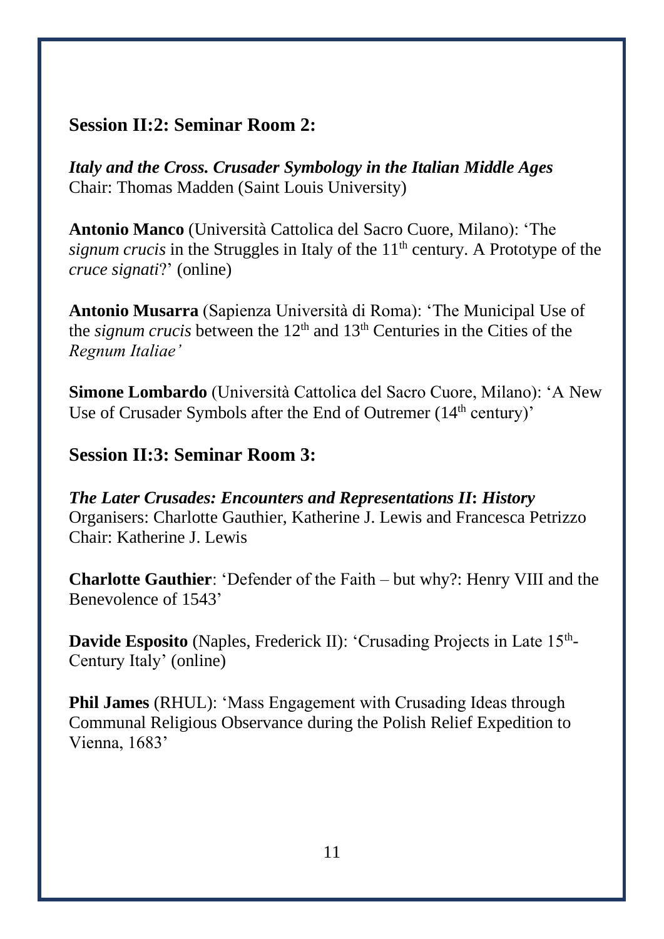#### **Session II:2: Seminar Room 2:**

*Italy and the Cross. Crusader Symbology in the Italian Middle Ages* Chair: Thomas Madden (Saint Louis University)

**Antonio Manco** (Università Cattolica del Sacro Cuore, Milano): 'The *signum crucis* in the Struggles in Italy of the 11<sup>th</sup> century. A Prototype of the *cruce signati*?' (online)

**Antonio Musarra** (Sapienza Università di Roma): 'The Municipal Use of the *signum crucis* between the 12<sup>th</sup> and 13<sup>th</sup> Centuries in the Cities of the *Regnum Italiae'*

**Simone Lombardo** (Università Cattolica del Sacro Cuore, Milano): 'A New Use of Crusader Symbols after the End of Outremer (14<sup>th</sup> century)'

#### **Session II:3: Seminar Room 3:**

*The Later Crusades: Encounters and Representations II***:** *History* Organisers: Charlotte Gauthier, Katherine J. Lewis and Francesca Petrizzo Chair: Katherine J. Lewis

**Charlotte Gauthier**: 'Defender of the Faith – but why?: Henry VIII and the Benevolence of 1543'

Davide Esposito (Naples, Frederick II): 'Crusading Projects in Late 15<sup>th</sup>-Century Italy' (online)

**Phil James** (RHUL): 'Mass Engagement with Crusading Ideas through Communal Religious Observance during the Polish Relief Expedition to Vienna, 1683'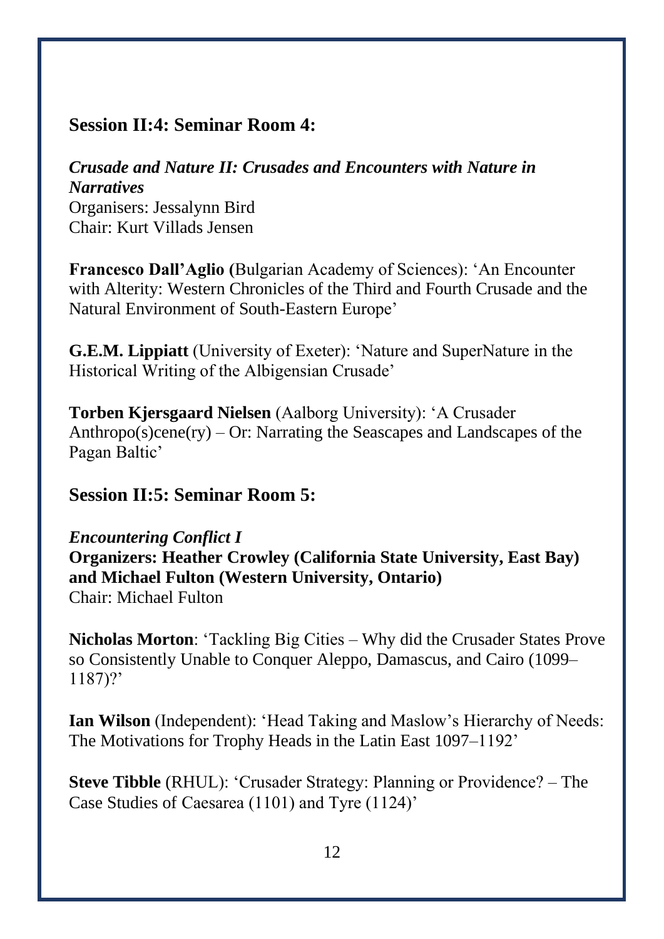#### **Session II:4: Seminar Room 4:**

# *Crusade and Nature II: Crusades and Encounters with Nature in Narratives* Organisers: Jessalynn Bird Chair: Kurt Villads Jensen

**Francesco Dall'Aglio (**Bulgarian Academy of Sciences): 'An Encounter with Alterity: Western Chronicles of the Third and Fourth Crusade and the Natural Environment of South-Eastern Europe'

**G.E.M. Lippiatt** (University of Exeter): 'Nature and SuperNature in the Historical Writing of the Albigensian Crusade'

**Torben Kjersgaard Nielsen** (Aalborg University): 'A Crusader Anthropo(s)cene(ry) – Or: Narrating the Seascapes and Landscapes of the Pagan Baltic'

# **Session II:5: Seminar Room 5:**

# *Encountering Conflict I* **Organizers: Heather Crowley (California State University, East Bay) and Michael Fulton (Western University, Ontario)** Chair: Michael Fulton

**Nicholas Morton**: 'Tackling Big Cities – Why did the Crusader States Prove so Consistently Unable to Conquer Aleppo, Damascus, and Cairo (1099– 1187)?'

**Ian Wilson** (Independent): 'Head Taking and Maslow's Hierarchy of Needs: The Motivations for Trophy Heads in the Latin East 1097–1192'

**Steve Tibble** (RHUL): 'Crusader Strategy: Planning or Providence? – The Case Studies of Caesarea (1101) and Tyre (1124)'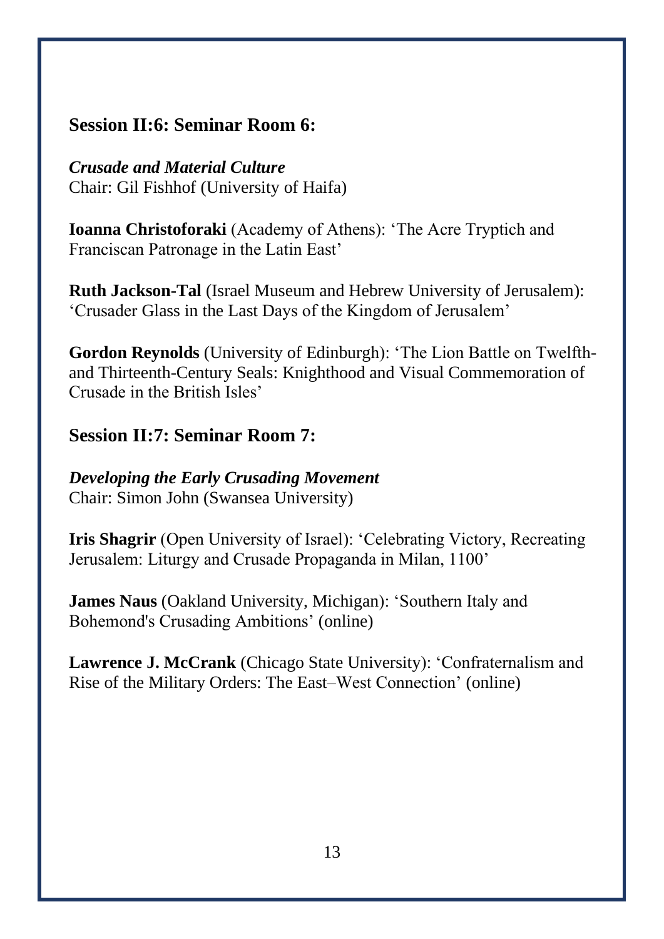#### **Session II:6: Seminar Room 6:**

#### *Crusade and Material Culture* Chair: Gil Fishhof (University of Haifa)

**Ioanna Christoforaki** (Academy of Athens): 'The Acre Tryptich and Franciscan Patronage in the Latin East'

**Ruth Jackson-Tal** (Israel Museum and Hebrew University of Jerusalem): 'Crusader Glass in the Last Days of the Kingdom of Jerusalem'

**Gordon Reynolds** (University of Edinburgh): 'The Lion Battle on Twelfthand Thirteenth-Century Seals: Knighthood and Visual Commemoration of Crusade in the British Isles'

#### **Session II:7: Seminar Room 7:**

#### *Developing the Early Crusading Movement* Chair: Simon John (Swansea University)

**Iris Shagrir** (Open University of Israel): 'Celebrating Victory, Recreating Jerusalem: Liturgy and Crusade Propaganda in Milan, 1100'

**James Naus** (Oakland University, Michigan): 'Southern Italy and Bohemond's Crusading Ambitions' (online)

**Lawrence J. McCrank** (Chicago State University): 'Confraternalism and Rise of the Military Orders: The East–West Connection' (online)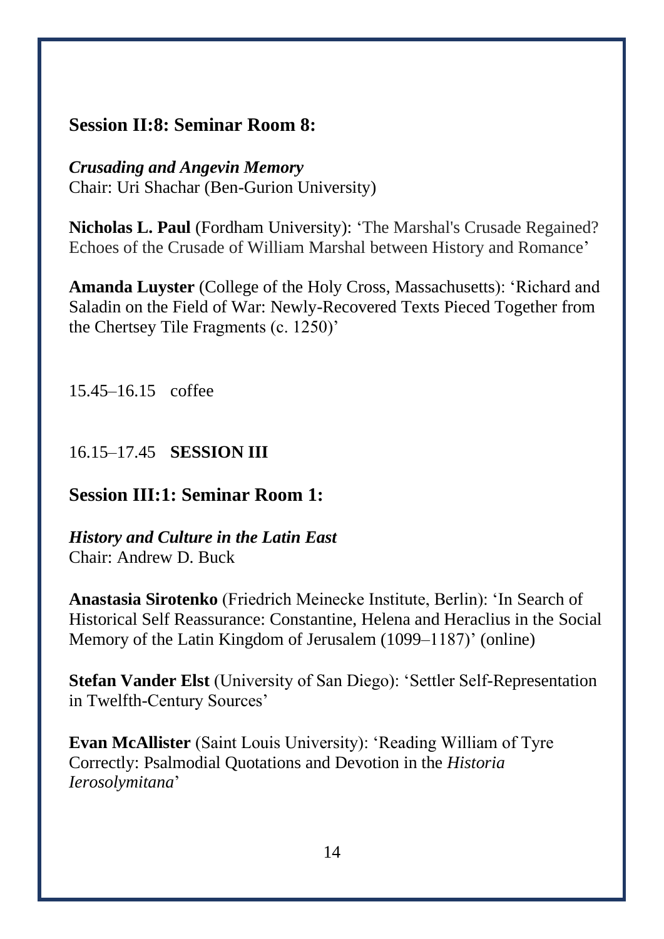#### **Session II:8: Seminar Room 8:**

*Crusading and Angevin Memory* Chair: Uri Shachar (Ben-Gurion University)

**Nicholas L. Paul** (Fordham University): 'The Marshal's Crusade Regained? Echoes of the Crusade of William Marshal between History and Romance'

**Amanda Luyster** (College of the Holy Cross, Massachusetts): 'Richard and Saladin on the Field of War: Newly-Recovered Texts Pieced Together from the Chertsey Tile Fragments (c. 1250)'

15.45–16.15 coffee

# 16.15–17.45 **SESSION III**

# **Session III:1: Seminar Room 1:**

*History and Culture in the Latin East* Chair: Andrew D. Buck

**Anastasia Sirotenko** (Friedrich Meinecke Institute, Berlin): 'In Search of Historical Self Reassurance: Constantine, Helena and Heraclius in the Social Memory of the Latin Kingdom of Jerusalem (1099–1187)' (online)

**Stefan Vander Elst** (University of San Diego): 'Settler Self-Representation in Twelfth-Century Sources'

**Evan McAllister** (Saint Louis University): 'Reading William of Tyre Correctly: Psalmodial Quotations and Devotion in the *Historia Ierosolymitana*'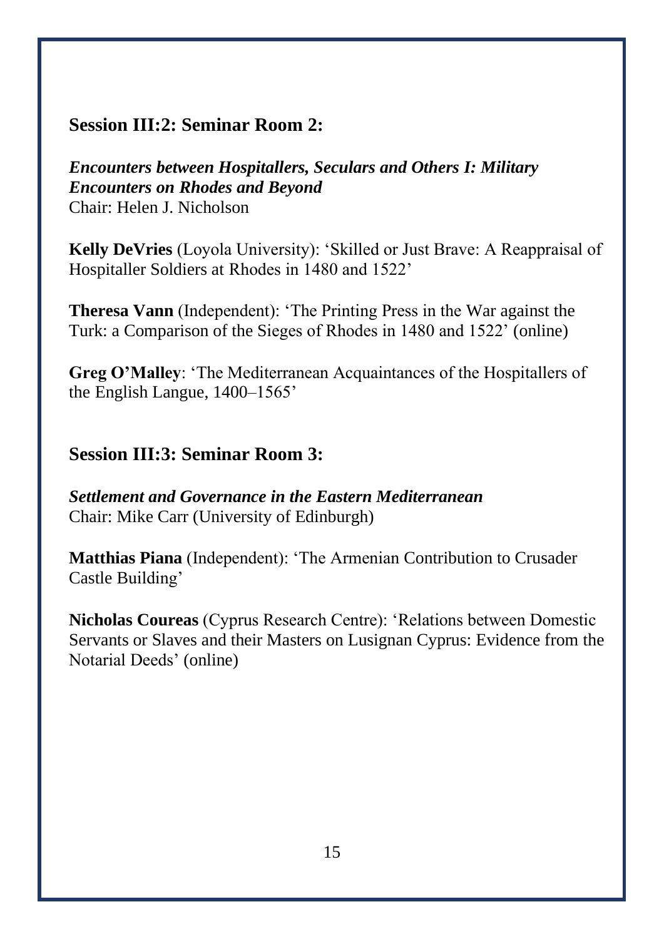#### **Session III:2: Seminar Room 2:**

*Encounters between Hospitallers, Seculars and Others I: Military Encounters on Rhodes and Beyond* Chair: Helen J. Nicholson

**Kelly DeVries** (Loyola University): 'Skilled or Just Brave: A Reappraisal of Hospitaller Soldiers at Rhodes in 1480 and 1522'

**Theresa Vann** (Independent): 'The Printing Press in the War against the Turk: a Comparison of the Sieges of Rhodes in 1480 and 1522' (online)

**Greg O'Malley**: 'The Mediterranean Acquaintances of the Hospitallers of the English Langue, 1400–1565'

#### **Session III:3: Seminar Room 3:**

*Settlement and Governance in the Eastern Mediterranean* Chair: Mike Carr (University of Edinburgh)

**Matthias Piana** (Independent): 'The Armenian Contribution to Crusader Castle Building'

**Nicholas Coureas** (Cyprus Research Centre): 'Relations between Domestic Servants or Slaves and their Masters on Lusignan Cyprus: Evidence from the Notarial Deeds' (online)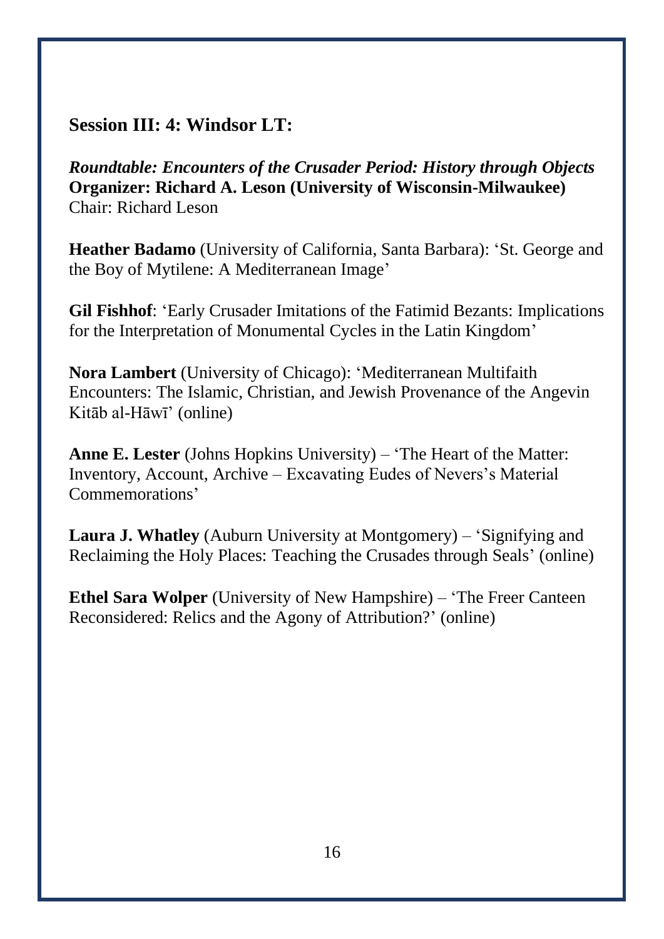#### **Session III: 4: Windsor LT:**

*Roundtable: Encounters of the Crusader Period: History through Objects* **Organizer: Richard A. Leson (University of Wisconsin-Milwaukee)** Chair: Richard Leson

**Heather Badamo** (University of California, Santa Barbara): 'St. George and the Boy of Mytilene: A Mediterranean Image'

**Gil Fishhof**: 'Early Crusader Imitations of the Fatimid Bezants: Implications for the Interpretation of Monumental Cycles in the Latin Kingdom'

**Nora Lambert** (University of Chicago): 'Mediterranean Multifaith Encounters: The Islamic, Christian, and Jewish Provenance of the Angevin Kitāb al-Hāwī' (online)

**Anne E. Lester** (Johns Hopkins University) – 'The Heart of the Matter: Inventory, Account, Archive – Excavating Eudes of Nevers's Material Commemorations'

**Laura J. Whatley** (Auburn University at Montgomery) – 'Signifying and Reclaiming the Holy Places: Teaching the Crusades through Seals' (online)

**Ethel Sara Wolper** (University of New Hampshire) – 'The Freer Canteen Reconsidered: Relics and the Agony of Attribution?' (online)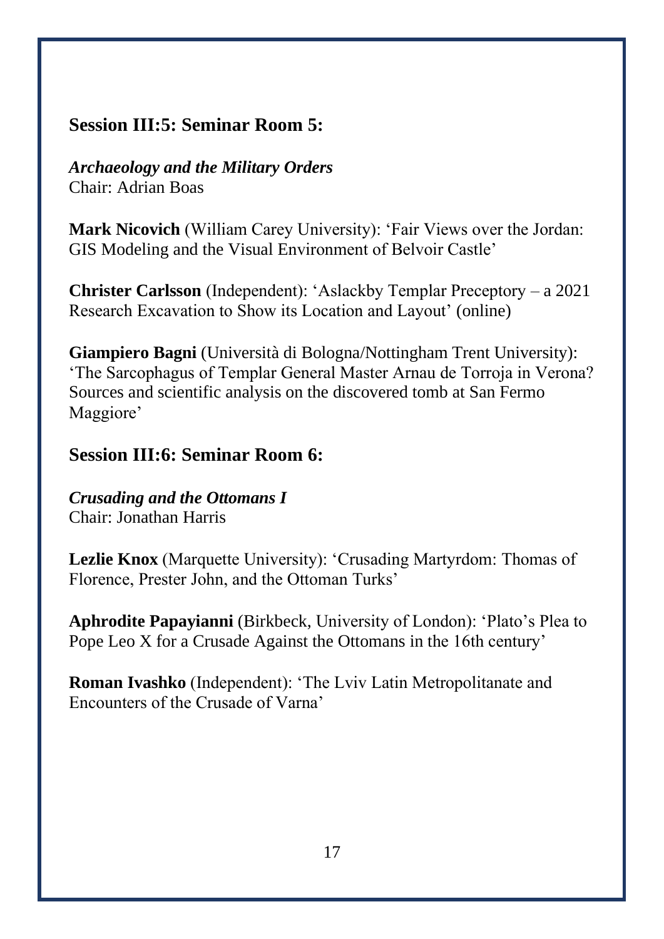#### **Session III:5: Seminar Room 5:**

# *Archaeology and the Military Orders*

Chair: Adrian Boas

**Mark Nicovich** (William Carey University): 'Fair Views over the Jordan: GIS Modeling and the Visual Environment of Belvoir Castle'

**Christer Carlsson** (Independent): 'Aslackby Templar Preceptory – a 2021 Research Excavation to Show its Location and Layout' (online)

**Giampiero Bagni** (Università di Bologna/Nottingham Trent University): 'The Sarcophagus of Templar General Master Arnau de Torroja in Verona? Sources and scientific analysis on the discovered tomb at San Fermo Maggiore'

#### **Session III:6: Seminar Room 6:**

*Crusading and the Ottomans I* Chair: Jonathan Harris

**Lezlie Knox** (Marquette University): 'Crusading Martyrdom: Thomas of Florence, Prester John, and the Ottoman Turks'

**Aphrodite Papayianni** (Birkbeck, University of London): 'Plato's Plea to Pope Leo X for a Crusade Against the Ottomans in the 16th century'

**Roman Ivashko** (Independent): 'The Lviv Latin Metropolitanate and Encounters of the Crusade of Varna'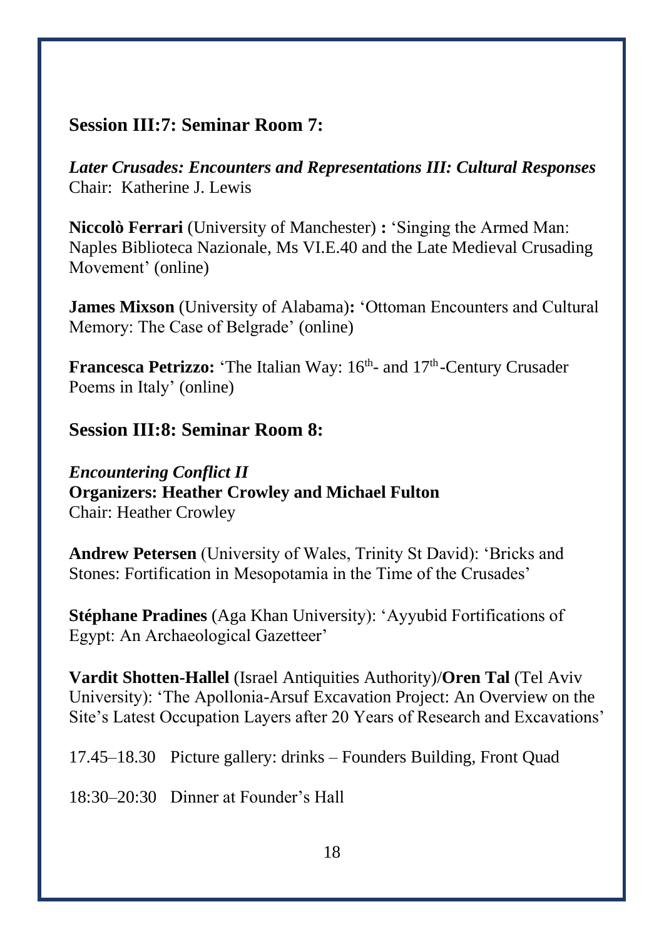#### **Session III:7: Seminar Room 7:**

*Later Crusades: Encounters and Representations III: Cultural Responses* Chair: Katherine J. Lewis

**Niccolò Ferrari** (University of Manchester) **:** 'Singing the Armed Man: Naples Biblioteca Nazionale, Ms VI.E.40 and the Late Medieval Crusading Movement' (online)

**James Mixson** (University of Alabama)**:** 'Ottoman Encounters and Cultural Memory: The Case of Belgrade' (online)

**Francesca Petrizzo:** 'The Italian Way: 16<sup>th</sup>- and 17<sup>th</sup>-Century Crusader Poems in Italy' (online)

# **Session III:8: Seminar Room 8:**

#### *Encountering Conflict II* **Organizers: Heather Crowley and Michael Fulton**  Chair: Heather Crowley

**Andrew Petersen** (University of Wales, Trinity St David): 'Bricks and Stones: Fortification in Mesopotamia in the Time of the Crusades'

**Stéphane Pradines** (Aga Khan University): 'Ayyubid Fortifications of Egypt: An Archaeological Gazetteer'

**Vardit Shotten-Hallel** (Israel Antiquities Authority)/**Oren Tal** (Tel Aviv University): 'The Apollonia-Arsuf Excavation Project: An Overview on the Site's Latest Occupation Layers after 20 Years of Research and Excavations'

17.45–18.30 Picture gallery: drinks – Founders Building, Front Quad

18:30–20:30 Dinner at Founder's Hall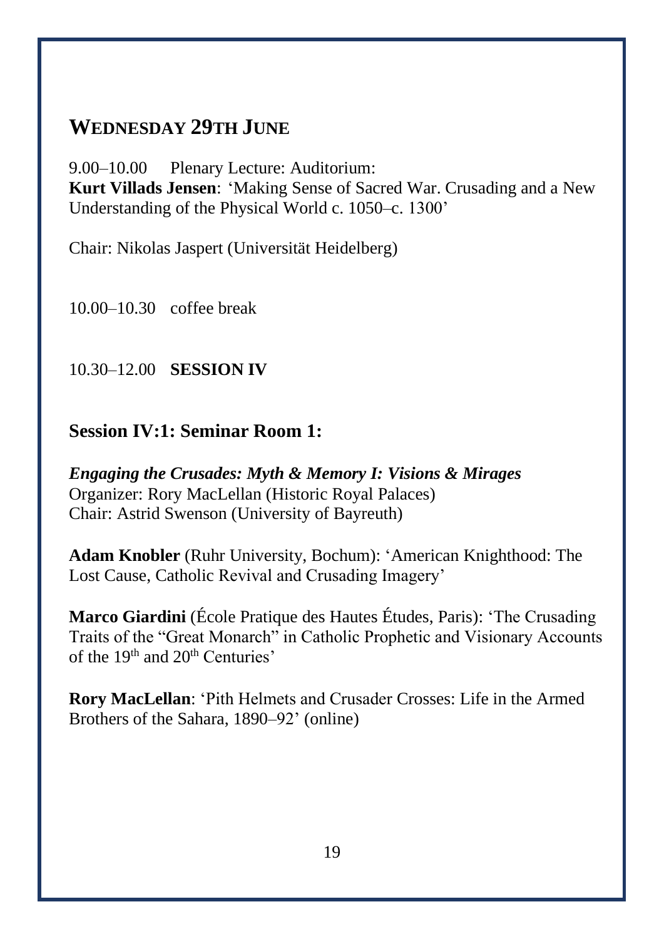# **WEDNESDAY 29TH JUNE**

9.00–10.00 Plenary Lecture: Auditorium: **Kurt Villads Jensen**: 'Making Sense of Sacred War. Crusading and a New Understanding of the Physical World c. 1050–c. 1300'

Chair: Nikolas Jaspert (Universität Heidelberg)

10.00–10.30 coffee break

#### 10.30–12.00 **SESSION IV**

# **Session IV:1: Seminar Room 1:**

*Engaging the Crusades: Myth & Memory I: Visions & Mirages* Organizer: Rory MacLellan (Historic Royal Palaces) Chair: Astrid Swenson (University of Bayreuth)

**Adam Knobler** (Ruhr University, Bochum): 'American Knighthood: The Lost Cause, Catholic Revival and Crusading Imagery'

**Marco Giardini** (École Pratique des Hautes Études, Paris): 'The Crusading Traits of the "Great Monarch" in Catholic Prophetic and Visionary Accounts of the 19th and 20th Centuries'

**Rory MacLellan**: 'Pith Helmets and Crusader Crosses: Life in the Armed Brothers of the Sahara, 1890–92' (online)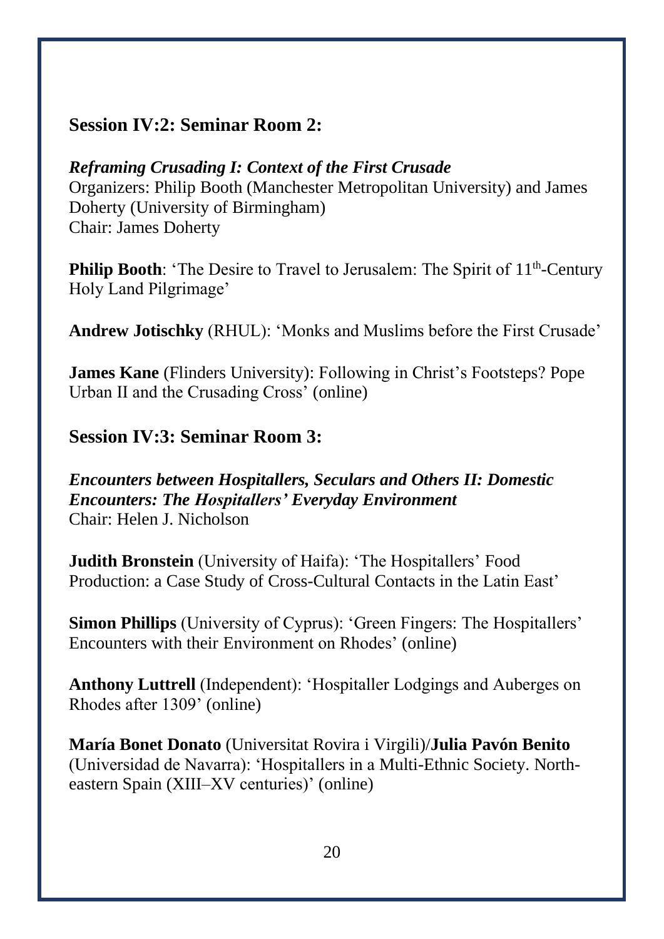#### **Session IV:2: Seminar Room 2:**

*Reframing Crusading I: Context of the First Crusade* Organizers: Philip Booth (Manchester Metropolitan University) and James Doherty (University of Birmingham) Chair: James Doherty

**Philip Booth**: 'The Desire to Travel to Jerusalem: The Spirit of 11<sup>th</sup>-Century Holy Land Pilgrimage'

**Andrew Jotischky** (RHUL): 'Monks and Muslims before the First Crusade'

**James Kane** (Flinders University): Following in Christ's Footsteps? Pope Urban II and the Crusading Cross' (online)

#### **Session IV:3: Seminar Room 3:**

*Encounters between Hospitallers, Seculars and Others II: Domestic Encounters: The Hospitallers' Everyday Environment* Chair: Helen J. Nicholson

**Judith Bronstein** (University of Haifa): 'The Hospitallers' Food Production: a Case Study of Cross-Cultural Contacts in the Latin East'

**Simon Phillips** (University of Cyprus): 'Green Fingers: The Hospitallers' Encounters with their Environment on Rhodes' (online)

**Anthony Luttrell** (Independent): 'Hospitaller Lodgings and Auberges on Rhodes after 1309' (online)

**María Bonet Donato** (Universitat Rovira i Virgili)/**Julia Pavón Benito** (Universidad de Navarra): 'Hospitallers in a Multi-Ethnic Society. Northeastern Spain (XIII–XV centuries)' (online)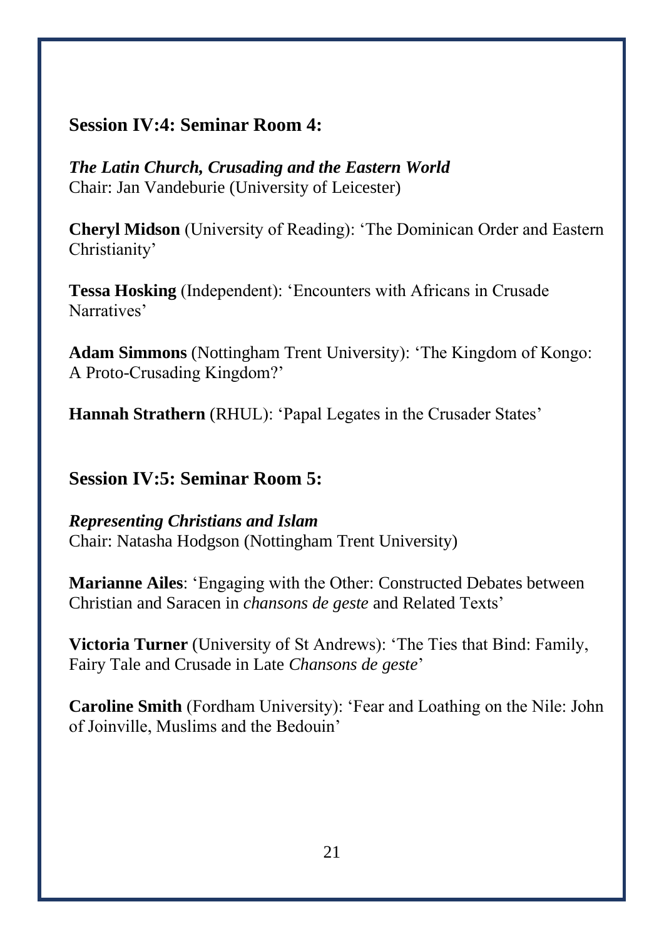#### **Session IV:4: Seminar Room 4:**

*The Latin Church, Crusading and the Eastern World* Chair: Jan Vandeburie (University of Leicester)

**Cheryl Midson** (University of Reading): 'The Dominican Order and Eastern Christianity'

**Tessa Hosking** (Independent): 'Encounters with Africans in Crusade Narratives'

**Adam Simmons** (Nottingham Trent University): 'The Kingdom of Kongo: A Proto-Crusading Kingdom?'

**Hannah Strathern** (RHUL): 'Papal Legates in the Crusader States'

**Session IV:5: Seminar Room 5:**

*Representing Christians and Islam* Chair: Natasha Hodgson (Nottingham Trent University)

**Marianne Ailes**: 'Engaging with the Other: Constructed Debates between Christian and Saracen in *chansons de geste* and Related Texts'

**Victoria Turner** (University of St Andrews): 'The Ties that Bind: Family, Fairy Tale and Crusade in Late *Chansons de geste*'

**Caroline Smith** (Fordham University): 'Fear and Loathing on the Nile: John of Joinville, Muslims and the Bedouin'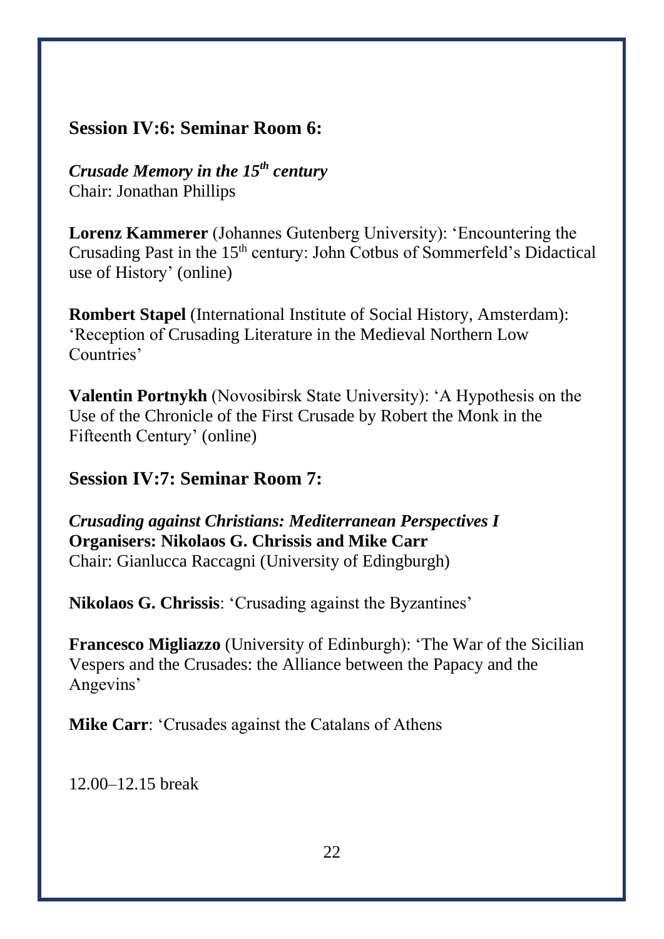## **Session IV:6: Seminar Room 6:**

*Crusade Memory in the 15th century* Chair: Jonathan Phillips

**Lorenz Kammerer** (Johannes Gutenberg University): 'Encountering the Crusading Past in the  $15<sup>th</sup>$  century: John Cotbus of Sommerfeld's Didactical use of History' (online)

**Rombert Stapel** (International Institute of Social History, Amsterdam): 'Reception of Crusading Literature in the Medieval Northern Low Countries'

**Valentin Portnykh** (Novosibirsk State University): 'A Hypothesis on the Use of the Chronicle of the First Crusade by Robert the Monk in the Fifteenth Century' (online)

**Session IV:7: Seminar Room 7:**

*Crusading against Christians: Mediterranean Perspectives I* **Organisers: Nikolaos G. Chrissis and Mike Carr** Chair: Gianlucca Raccagni (University of Edingburgh)

**Nikolaos G. Chrissis**: 'Crusading against the Byzantines'

**Francesco Migliazzo** (University of Edinburgh): 'The War of the Sicilian Vespers and the Crusades: the Alliance between the Papacy and the Angevins'

**Mike Carr**: 'Crusades against the Catalans of Athens

12.00–12.15 break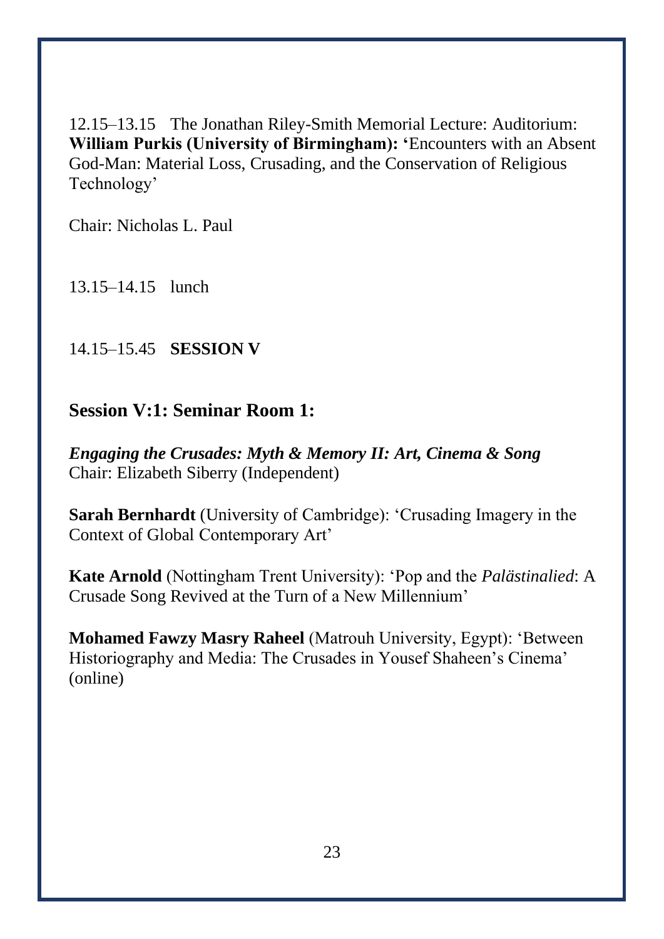12.15–13.15 The Jonathan Riley-Smith Memorial Lecture: Auditorium: **William Purkis (University of Birmingham): '**Encounters with an Absent God-Man: Material Loss, Crusading, and the Conservation of Religious Technology'

Chair: Nicholas L. Paul

13.15–14.15 lunch

# 14.15–15.45 **SESSION V**

# **Session V:1: Seminar Room 1:**

*Engaging the Crusades: Myth & Memory II: Art, Cinema & Song* Chair: Elizabeth Siberry (Independent)

**Sarah Bernhardt** (University of Cambridge): 'Crusading Imagery in the Context of Global Contemporary Art'

**Kate Arnold** (Nottingham Trent University): 'Pop and the *Palästinalied*: A Crusade Song Revived at the Turn of a New Millennium'

**Mohamed Fawzy Masry Raheel** (Matrouh University, Egypt): 'Between Historiography and Media: The Crusades in Yousef Shaheen's Cinema' (online)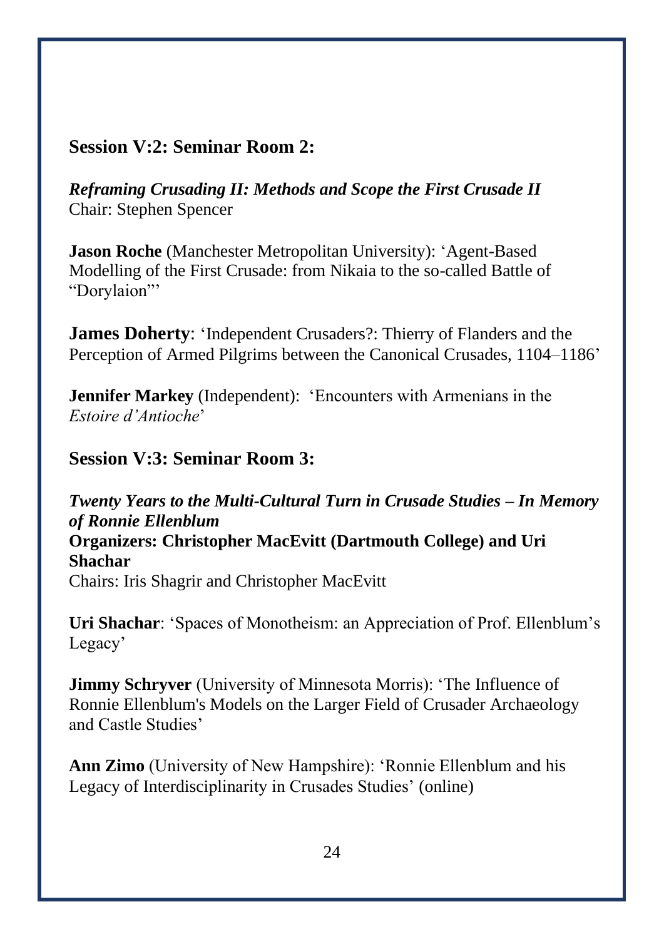# **Session V:2: Seminar Room 2:**

*Reframing Crusading II: Methods and Scope the First Crusade II* Chair: Stephen Spencer

**Jason Roche** (Manchester Metropolitan University): 'Agent-Based Modelling of the First Crusade: from Nikaia to the so-called Battle of "Dorylaion"'

**James Doherty: 'Independent Crusaders': Thierry of Flanders and the** Perception of Armed Pilgrims between the Canonical Crusades, 1104–1186'

**Jennifer Markey** (Independent): 'Encounters with Armenians in the *Estoire d'Antioche*'

# **Session V:3: Seminar Room 3:**

*Twenty Years to the Multi-Cultural Turn in Crusade Studies – In Memory of Ronnie Ellenblum* **Organizers: Christopher MacEvitt (Dartmouth College) and Uri Shachar** Chairs: Iris Shagrir and Christopher MacEvitt

**Uri Shachar**: 'Spaces of Monotheism: an Appreciation of Prof. Ellenblum's Legacy'

**Jimmy Schryver** (University of Minnesota Morris): 'The Influence of Ronnie Ellenblum's Models on the Larger Field of Crusader Archaeology and Castle Studies'

**Ann Zimo** (University of New Hampshire): 'Ronnie Ellenblum and his Legacy of Interdisciplinarity in Crusades Studies' (online)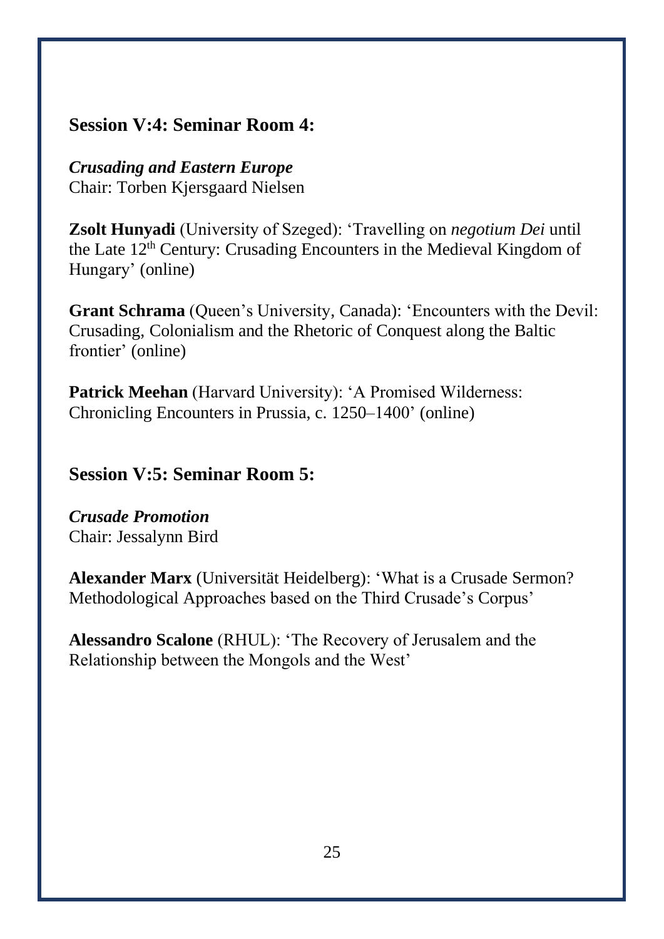#### **Session V:4: Seminar Room 4:**

*Crusading and Eastern Europe* Chair: Torben Kjersgaard Nielsen

**Zsolt Hunyadi** (University of Szeged): 'Travelling on *negotium Dei* until the Late 12<sup>th</sup> Century: Crusading Encounters in the Medieval Kingdom of Hungary' (online)

**Grant Schrama** (Queen's University, Canada): 'Encounters with the Devil: Crusading, Colonialism and the Rhetoric of Conquest along the Baltic frontier' (online)

**Patrick Meehan** (Harvard University): 'A Promised Wilderness: Chronicling Encounters in Prussia, c. 1250–1400' (online)

# **Session V:5: Seminar Room 5:**

*Crusade Promotion* Chair: Jessalynn Bird

**Alexander Marx** (Universität Heidelberg): 'What is a Crusade Sermon? Methodological Approaches based on the Third Crusade's Corpus'

**Alessandro Scalone** (RHUL): 'The Recovery of Jerusalem and the Relationship between the Mongols and the West'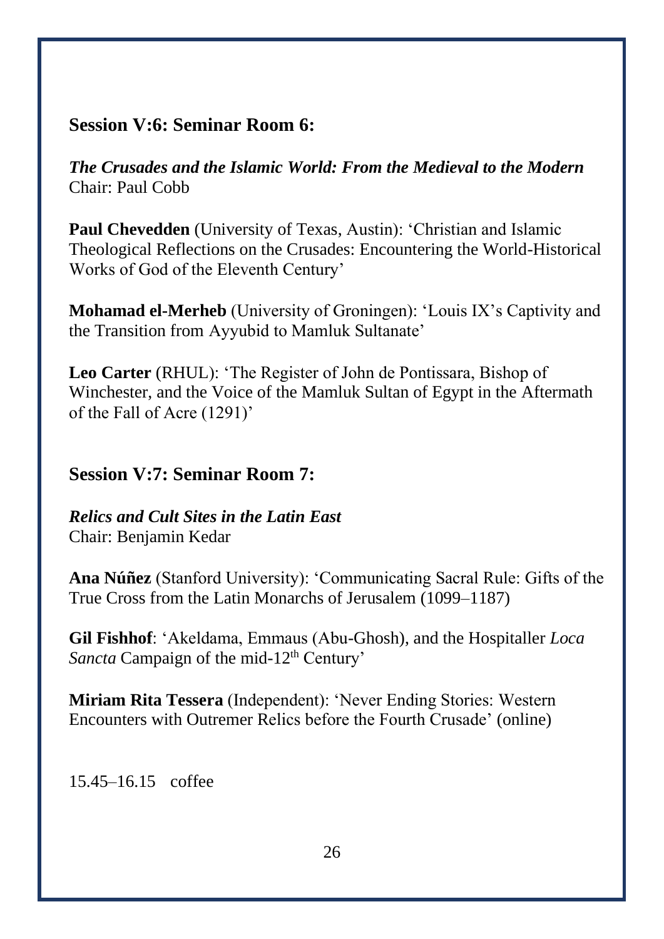#### **Session V:6: Seminar Room 6:**

*The Crusades and the Islamic World: From the Medieval to the Modern* Chair: Paul Cobb

**Paul Chevedden** (University of Texas, Austin): 'Christian and Islamic Theological Reflections on the Crusades: Encountering the World-Historical Works of God of the Eleventh Century'

**Mohamad el-Merheb** (University of Groningen): 'Louis IX's Captivity and the Transition from Ayyubid to Mamluk Sultanate'

**Leo Carter** (RHUL): 'The Register of John de Pontissara, Bishop of Winchester, and the Voice of the Mamluk Sultan of Egypt in the Aftermath of the Fall of Acre (1291)'

#### **Session V:7: Seminar Room 7:**

*Relics and Cult Sites in the Latin East* Chair: Benjamin Kedar

**Ana Núñez** (Stanford University): 'Communicating Sacral Rule: Gifts of the True Cross from the Latin Monarchs of Jerusalem (1099–1187)

**Gil Fishhof**: 'Akeldama, Emmaus (Abu-Ghosh), and the Hospitaller *Loca Sancta* Campaign of the mid-12<sup>th</sup> Century'

**Miriam Rita Tessera** (Independent): 'Never Ending Stories: Western Encounters with Outremer Relics before the Fourth Crusade' (online)

15.45–16.15 coffee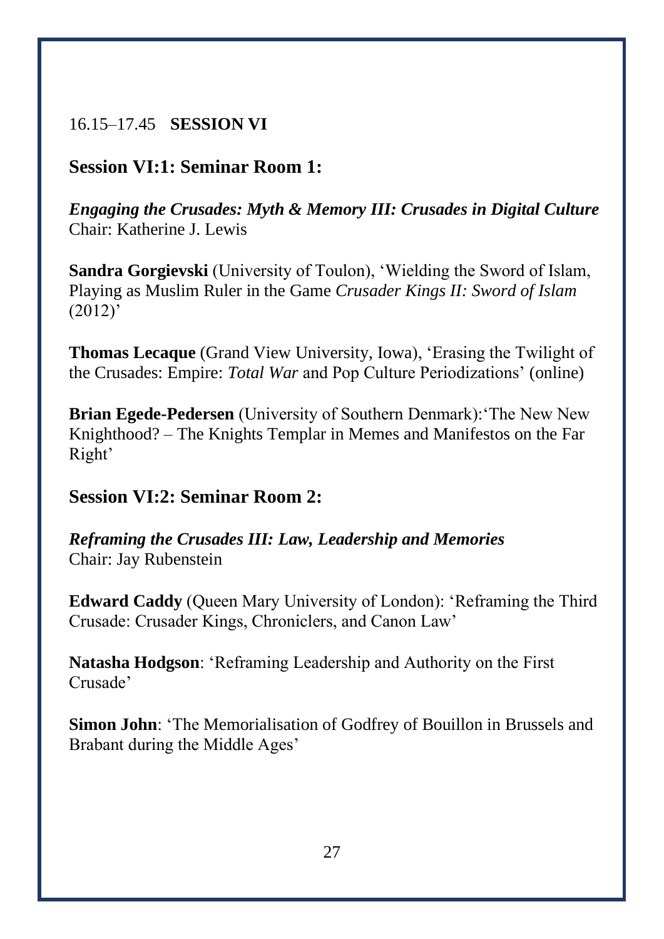# 16.15–17.45 **SESSION VI**

# **Session VI:1: Seminar Room 1:**

*Engaging the Crusades: Myth & Memory III: Crusades in Digital Culture* Chair: Katherine J. Lewis

**Sandra Gorgievski** (University of Toulon), 'Wielding the Sword of Islam, Playing as Muslim Ruler in the Game *Crusader Kings II: Sword of Islam*  $(2012)'$ 

**Thomas Lecaque** (Grand View University, Iowa), 'Erasing the Twilight of the Crusades: Empire: *Total War* and Pop Culture Periodizations' (online)

**Brian Egede-Pedersen** (University of Southern Denmark):'The New New Knighthood? – The Knights Templar in Memes and Manifestos on the Far Right'

#### **Session VI:2: Seminar Room 2:**

*Reframing the Crusades III: Law, Leadership and Memories* Chair: Jay Rubenstein

**Edward Caddy** (Queen Mary University of London): 'Reframing the Third Crusade: Crusader Kings, Chroniclers, and Canon Law'

**Natasha Hodgson**: 'Reframing Leadership and Authority on the First Crusade'

**Simon John**: 'The Memorialisation of Godfrey of Bouillon in Brussels and Brabant during the Middle Ages'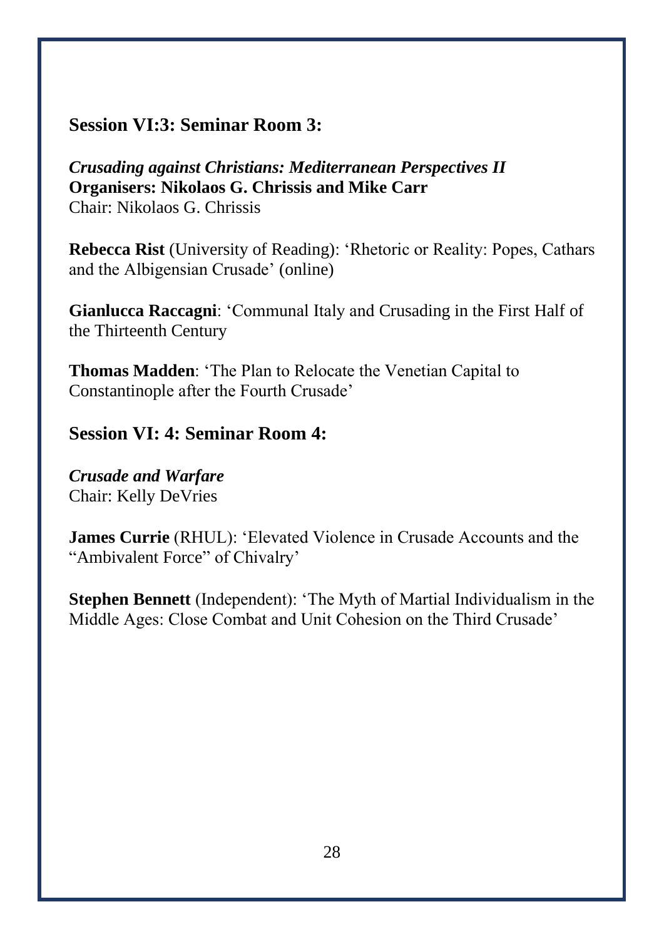#### **Session VI:3: Seminar Room 3:**

*Crusading against Christians: Mediterranean Perspectives II* **Organisers: Nikolaos G. Chrissis and Mike Carr** Chair: Nikolaos G. Chrissis

**Rebecca Rist** (University of Reading): 'Rhetoric or Reality: Popes, Cathars and the Albigensian Crusade' (online)

**Gianlucca Raccagni**: 'Communal Italy and Crusading in the First Half of the Thirteenth Century

**Thomas Madden**: 'The Plan to Relocate the Venetian Capital to Constantinople after the Fourth Crusade'

#### **Session VI: 4: Seminar Room 4:**

*Crusade and Warfare* Chair: Kelly DeVries

**James Currie** (RHUL): 'Elevated Violence in Crusade Accounts and the "Ambivalent Force" of Chivalry'

**Stephen Bennett** (Independent): 'The Myth of Martial Individualism in the Middle Ages: Close Combat and Unit Cohesion on the Third Crusade'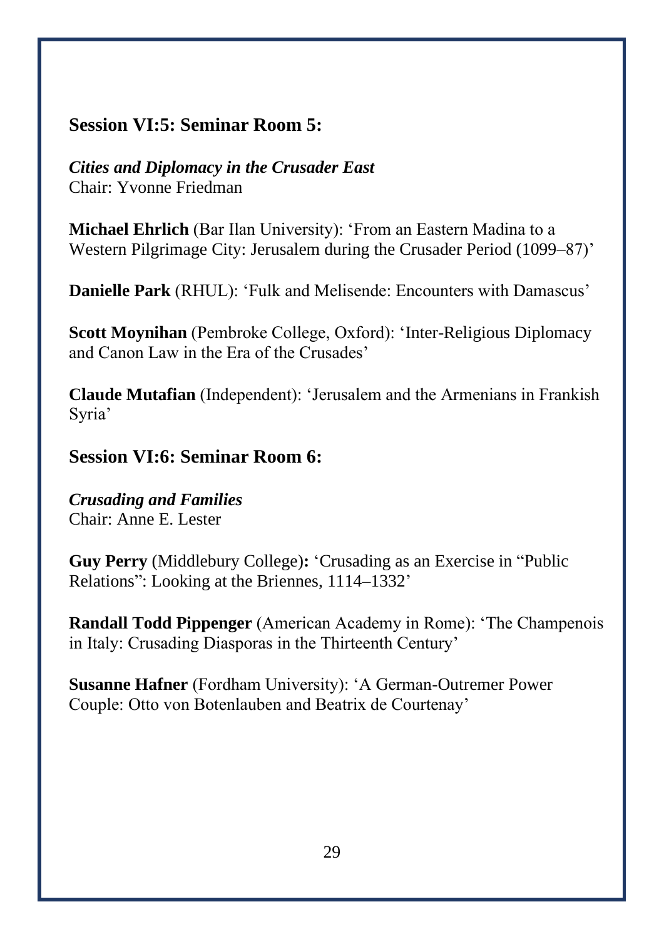# **Session VI:5: Seminar Room 5:**

#### *Cities and Diplomacy in the Crusader East* Chair: Yvonne Friedman

**Michael Ehrlich** (Bar Ilan University): 'From an Eastern Madina to a Western Pilgrimage City: Jerusalem during the Crusader Period (1099–87)'

**Danielle Park** (RHUL): 'Fulk and Melisende: Encounters with Damascus'

**Scott Moynihan** (Pembroke College, Oxford): 'Inter-Religious Diplomacy and Canon Law in the Era of the Crusades'

**Claude Mutafian** (Independent): 'Jerusalem and the Armenians in Frankish Syria'

#### **Session VI:6: Seminar Room 6:**

*Crusading and Families* Chair: Anne E. Lester

**Guy Perry** (Middlebury College)**:** 'Crusading as an Exercise in "Public Relations": Looking at the Briennes, 1114–1332'

**Randall Todd Pippenger** (American Academy in Rome): 'The Champenois in Italy: Crusading Diasporas in the Thirteenth Century'

**Susanne Hafner** (Fordham University): 'A German-Outremer Power Couple: Otto von Botenlauben and Beatrix de Courtenay'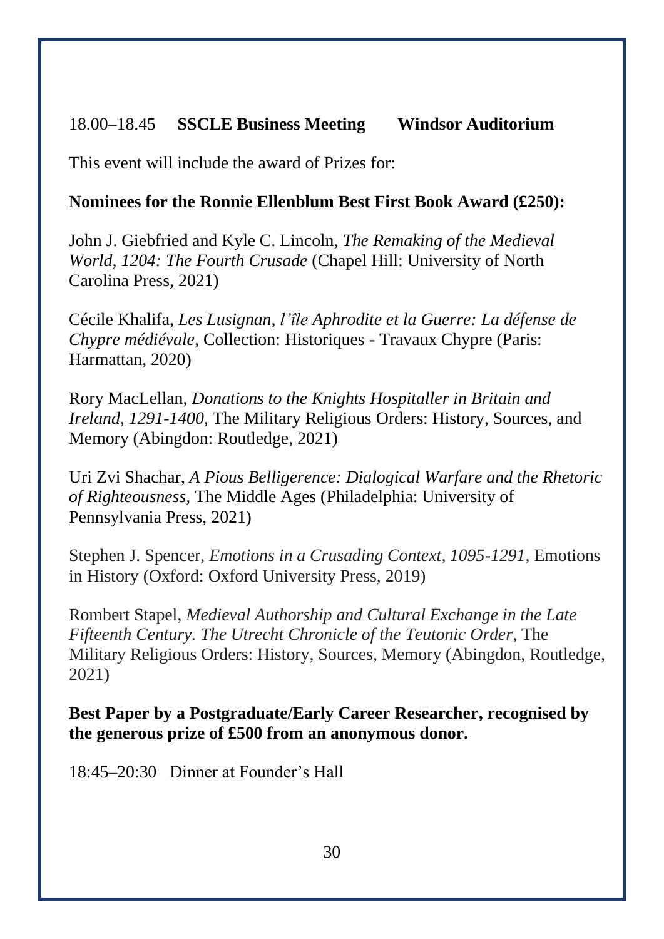#### 18.00–18.45 **SSCLE Business Meeting Windsor Auditorium**

This event will include the award of Prizes for:

#### **Nominees for the Ronnie Ellenblum Best First Book Award (£250):**

John J. Giebfried and Kyle C. Lincoln, *The Remaking of the Medieval World, 1204: The Fourth Crusade* (Chapel Hill: University of North Carolina Press, 2021)

Cécile Khalifa, *Les Lusignan, l'île Aphrodite et la Guerre: La défense de Chypre médiévale,* Collection: Historiques - Travaux Chypre (Paris: Harmattan, 2020)

Rory MacLellan, *Donations to the Knights Hospitaller in Britain and Ireland, 1291-1400,* The Military Religious Orders: History, Sources, and Memory (Abingdon: Routledge, 2021)

Uri Zvi Shachar, *A Pious Belligerence: Dialogical Warfare and the Rhetoric of Righteousness,* The Middle Ages (Philadelphia: University of Pennsylvania Press, 2021)

Stephen J. Spencer, *Emotions in a Crusading Context, 1095-1291,* Emotions in History (Oxford: Oxford University Press, 2019)

Rombert Stapel, *Medieval Authorship and Cultural Exchange in the Late Fifteenth Century. The Utrecht Chronicle of the Teutonic Order*, The Military Religious Orders: History, Sources, Memory (Abingdon, Routledge, 2021)

#### **Best Paper by a Postgraduate/Early Career Researcher, recognised by the generous prize of £500 from an anonymous donor.**

18:45–20:30 Dinner at Founder's Hall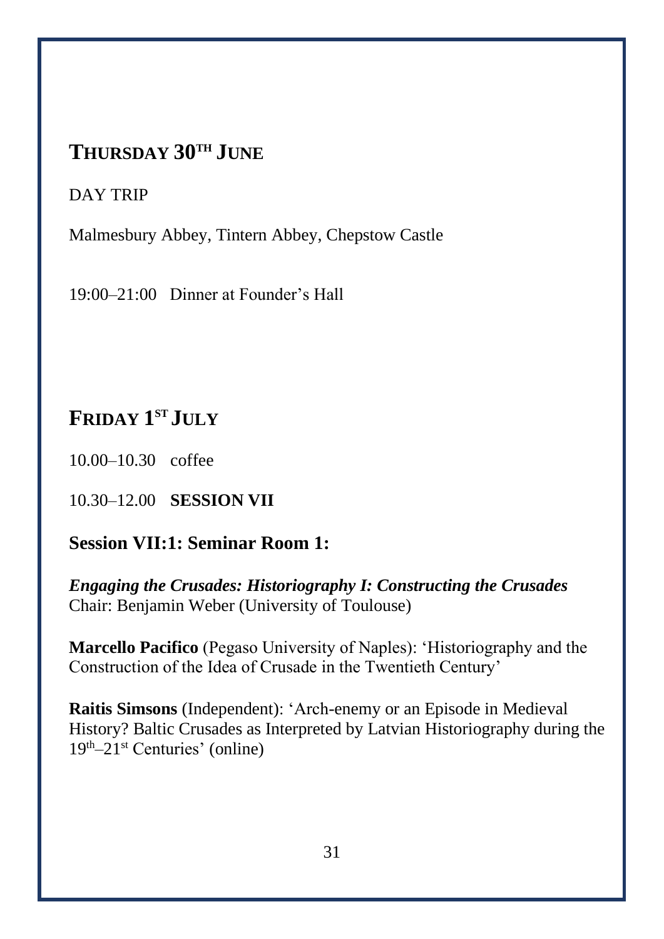# **THURSDAY 30TH JUNE**

#### DAY TRIP

Malmesbury Abbey, Tintern Abbey, Chepstow Castle

19:00–21:00 Dinner at Founder's Hall

# **FRIDAY 1 ST JULY**

10.00–10.30 coffee

# 10.30–12.00 **SESSION VII**

# **Session VII:1: Seminar Room 1:**

*Engaging the Crusades: Historiography I: Constructing the Crusades* Chair: Benjamin Weber (University of Toulouse)

**Marcello Pacifico** (Pegaso University of Naples): 'Historiography and the Construction of the Idea of Crusade in the Twentieth Century'

**Raitis Simsons** (Independent): 'Arch-enemy or an Episode in Medieval History? Baltic Crusades as Interpreted by Latvian Historiography during the  $19<sup>th</sup>-21<sup>st</sup>$  Centuries' (online)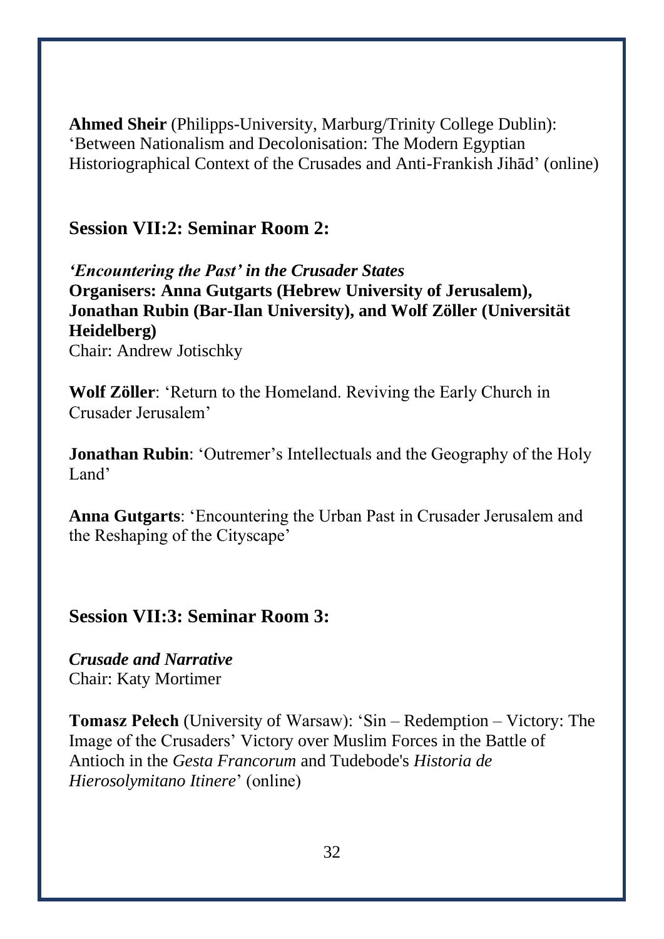**Ahmed Sheir** (Philipps-University, Marburg/Trinity College Dublin): 'Between Nationalism and Decolonisation: The Modern Egyptian Historiographical Context of the Crusades and Anti-Frankish Jihād' (online)

#### **Session VII:2: Seminar Room 2:**

*'Encountering the Past' in the Crusader States* **Organisers: Anna Gutgarts (Hebrew University of Jerusalem), Jonathan Rubin (Bar-Ilan University), and Wolf Zöller (Universität Heidelberg)** Chair: Andrew Jotischky

**Wolf Zöller**: 'Return to the Homeland. Reviving the Early Church in Crusader Jerusalem'

**Jonathan Rubin:** 'Outremer's Intellectuals and the Geography of the Holy Land'

**Anna Gutgarts**: 'Encountering the Urban Past in Crusader Jerusalem and the Reshaping of the Cityscape'

#### **Session VII:3: Seminar Room 3:**

*Crusade and Narrative* Chair: Katy Mortimer

**Tomasz Pełech** (University of Warsaw): 'Sin – Redemption – Victory: The Image of the Crusaders' Victory over Muslim Forces in the Battle of Antioch in the *Gesta Francorum* and Tudebode's *Historia de Hierosolymitano Itinere*' (online)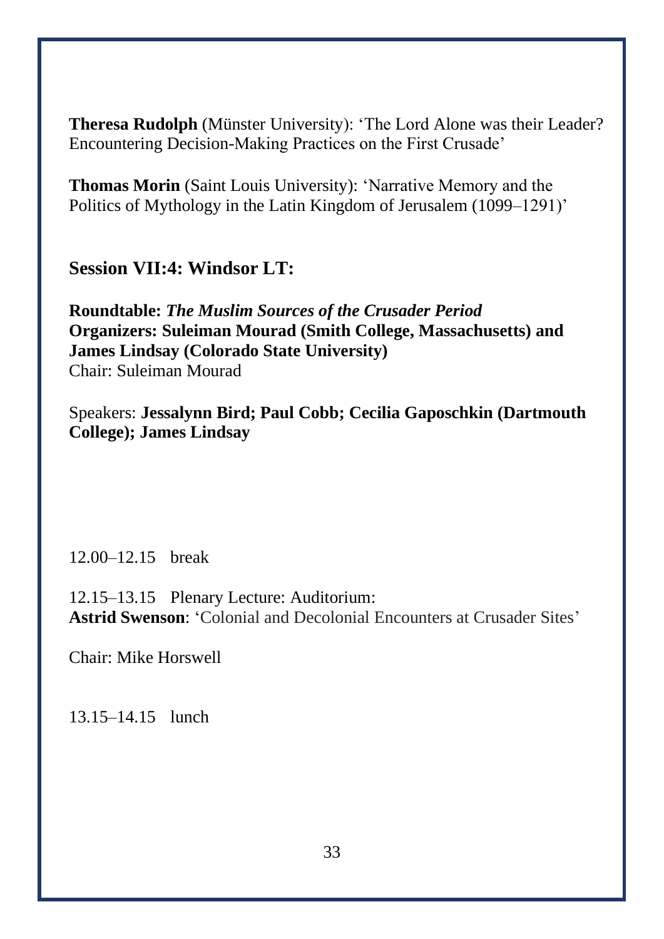**Theresa Rudolph** (Münster University): 'The Lord Alone was their Leader? Encountering Decision-Making Practices on the First Crusade'

**Thomas Morin** (Saint Louis University): 'Narrative Memory and the Politics of Mythology in the Latin Kingdom of Jerusalem (1099–1291)'

**Session VII:4: Windsor LT:**

**Roundtable:** *The Muslim Sources of the Crusader Period* **Organizers: Suleiman Mourad (Smith College, Massachusetts) and James Lindsay (Colorado State University)** Chair: Suleiman Mourad

Speakers: **Jessalynn Bird; Paul Cobb; Cecilia Gaposchkin (Dartmouth College); James Lindsay**

12.00–12.15 break

12.15–13.15 Plenary Lecture: Auditorium: **Astrid Swenson**: 'Colonial and Decolonial Encounters at Crusader Sites'

Chair: Mike Horswell

13.15–14.15 lunch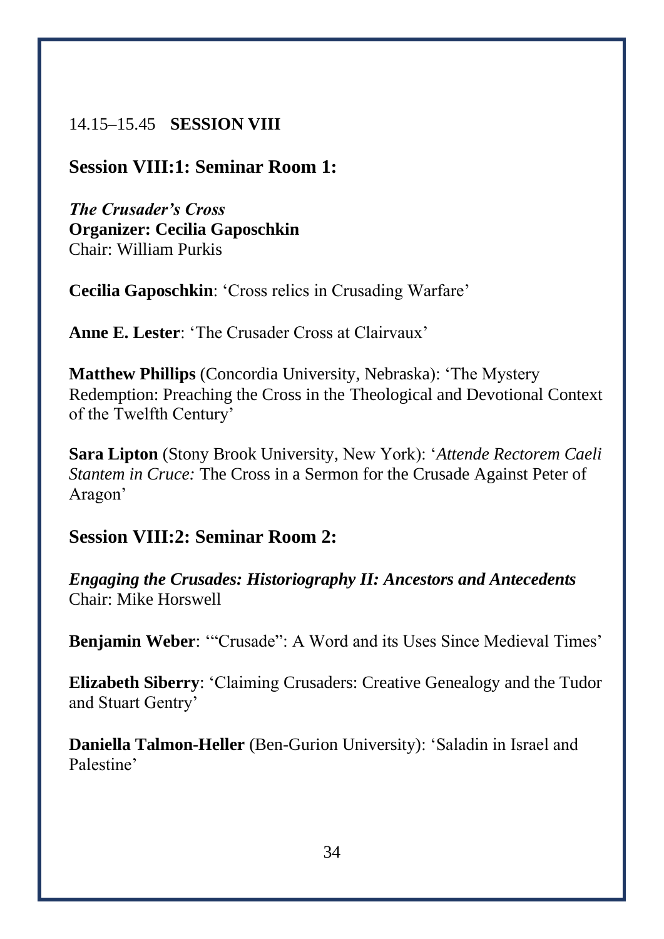#### 14.15–15.45 **SESSION VIII**

#### **Session VIII:1: Seminar Room 1:**

*The Crusader's Cross* **Organizer: Cecilia Gaposchkin**  Chair: William Purkis

**Cecilia Gaposchkin**: 'Cross relics in Crusading Warfare'

**Anne E. Lester**: 'The Crusader Cross at Clairvaux'

**Matthew Phillips** (Concordia University, Nebraska): 'The Mystery Redemption: Preaching the Cross in the Theological and Devotional Context of the Twelfth Century'

**Sara Lipton** (Stony Brook University, New York): '*Attende Rectorem Caeli Stantem in Cruce:* The Cross in a Sermon for the Crusade Against Peter of Aragon'

# **Session VIII:2: Seminar Room 2:**

*Engaging the Crusades: Historiography II: Ancestors and Antecedents* Chair: Mike Horswell

**Benjamin Weber**: '"Crusade": A Word and its Uses Since Medieval Times'

**Elizabeth Siberry**: 'Claiming Crusaders: Creative Genealogy and the Tudor and Stuart Gentry'

**Daniella Talmon-Heller** (Ben-Gurion University): 'Saladin in Israel and Palestine'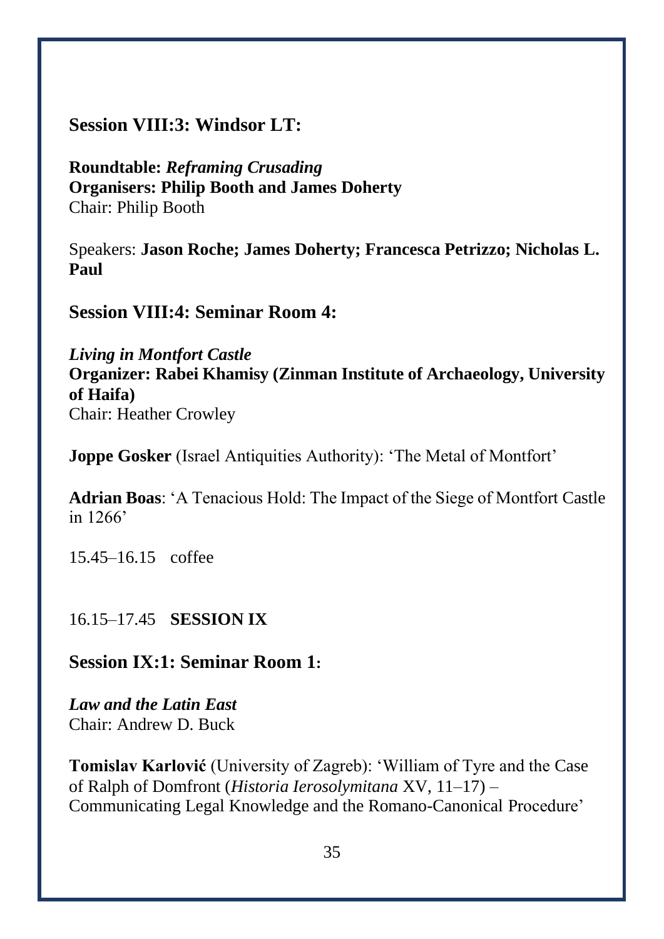#### **Session VIII:3: Windsor LT:**

**Roundtable:** *Reframing Crusading* **Organisers: Philip Booth and James Doherty** Chair: Philip Booth

Speakers: **Jason Roche; James Doherty; Francesca Petrizzo; Nicholas L. Paul** 

**Session VIII:4: Seminar Room 4:**

*Living in Montfort Castle* **Organizer: Rabei Khamisy (Zinman Institute of Archaeology, University of Haifa)** Chair: Heather Crowley

**Joppe Gosker** (Israel Antiquities Authority): 'The Metal of Montfort'

**Adrian Boas**: 'A Tenacious Hold: The Impact of the Siege of Montfort Castle in 1266'

15.45–16.15 coffee

16.15–17.45 **SESSION IX**

**Session IX:1: Seminar Room 1:**

*Law and the Latin East* Chair: Andrew D. Buck

**Tomislav Karlović** (University of Zagreb): 'William of Tyre and the Case of Ralph of Domfront (*Historia Ierosolymitana* XV, 11–17) – Communicating Legal Knowledge and the Romano-Canonical Procedure'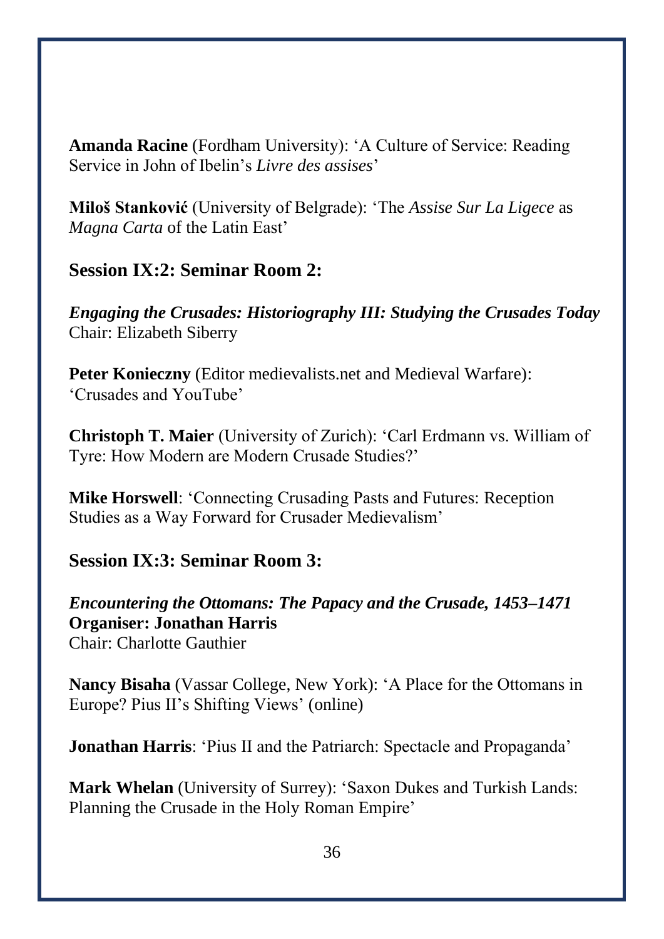**Amanda Racine** (Fordham University): 'A Culture of Service: Reading Service in John of Ibelin's *Livre des assises*'

**Miloš Stanković** (University of Belgrade): 'The *Assise Sur La Ligece* as *Magna Carta* of the Latin East'

#### **Session IX:2: Seminar Room 2:**

*Engaging the Crusades: Historiography III: Studying the Crusades Today* Chair: Elizabeth Siberry

**Peter Konieczny** (Editor medievalists.net and Medieval Warfare): 'Crusades and YouTube'

**Christoph T. Maier** (University of Zurich): 'Carl Erdmann vs. William of Tyre: How Modern are Modern Crusade Studies?'

**Mike Horswell**: 'Connecting Crusading Pasts and Futures: Reception Studies as a Way Forward for Crusader Medievalism'

#### **Session IX:3: Seminar Room 3:**

*Encountering the Ottomans: The Papacy and the Crusade, 1453–1471* **Organiser: Jonathan Harris** Chair: Charlotte Gauthier

**Nancy Bisaha** (Vassar College, New York): 'A Place for the Ottomans in Europe? Pius II's Shifting Views' (online)

**Jonathan Harris**: 'Pius II and the Patriarch: Spectacle and Propaganda'

**Mark Whelan** (University of Surrey): 'Saxon Dukes and Turkish Lands: Planning the Crusade in the Holy Roman Empire'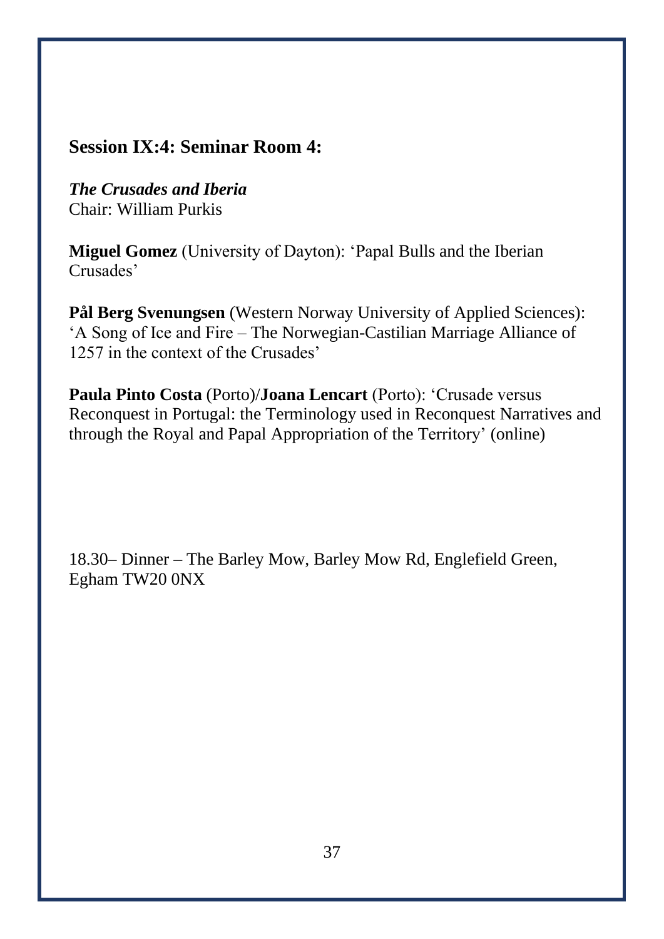# **Session IX:4: Seminar Room 4:**

*The Crusades and Iberia* Chair: William Purkis

**Miguel Gomez** (University of Dayton): 'Papal Bulls and the Iberian Crusades'

**Pål Berg Svenungsen** (Western Norway University of Applied Sciences): 'A Song of Ice and Fire – The Norwegian-Castilian Marriage Alliance of 1257 in the context of the Crusades'

**Paula Pinto Costa** (Porto)/**Joana Lencart** (Porto): 'Crusade versus Reconquest in Portugal: the Terminology used in Reconquest Narratives and through the Royal and Papal Appropriation of the Territory' (online)

18.30– Dinner – The Barley Mow, Barley Mow Rd, Englefield Green, Egham TW20 0NX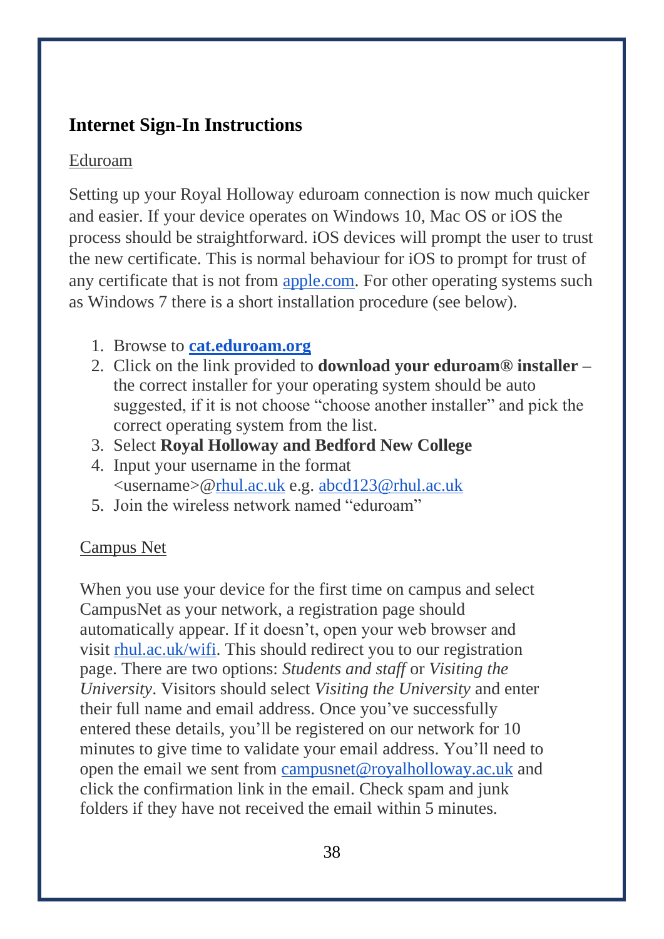# **Internet Sign-In Instructions**

#### Eduroam

Setting up your Royal Holloway eduroam connection is now much quicker and easier. If your device operates on Windows 10, Mac OS or iOS the process should be straightforward. iOS devices will prompt the user to trust the new certificate. This is normal behaviour for iOS to prompt for trust of any certificate that is not from [apple.com.](http://apple.com/) For other operating systems such as Windows 7 there is a short installation procedure (see below).

- 1. Browse to **[cat.eduroam.org](https://cat.eduroam.org/)**
- 2. Click on the link provided to **download your eduroam® installer –** the correct installer for your operating system should be auto suggested, if it is not choose "choose another installer" and pick the correct operating system from the list.
- 3. Select **Royal Holloway and Bedford New College**
- 4. Input your username in the format <username>[@rhul.ac.uk](http://rhul.ac.uk/) e.g. [abcd123@rhul.ac.uk](mailto:abcd123@rhul.ac.uk)
- 5. Join the wireless network named "eduroam"

#### Campus Net

When you use your device for the first time on campus and select CampusNet as your network, a registration page should automatically appear. If it doesn't, open your web browser and visit [rhul.ac.uk/wifi.](http://rhul.ac.uk/wifi) This should redirect you to our registration page. There are two options: *Students and staff* or *Visiting the University*. Visitors should select *Visiting the University* and enter their full name and email address. Once you've successfully entered these details, you'll be registered on our network for 10 minutes to give time to validate your email address. You'll need to open the email we sent from [campusnet@royalholloway.ac.uk](https://intranet.royalholloway.ac.uk/mailcontacts/campusnet++royalholloway+ac+uk) and click the confirmation link in the email. Check spam and junk folders if they have not received the email within 5 minutes.